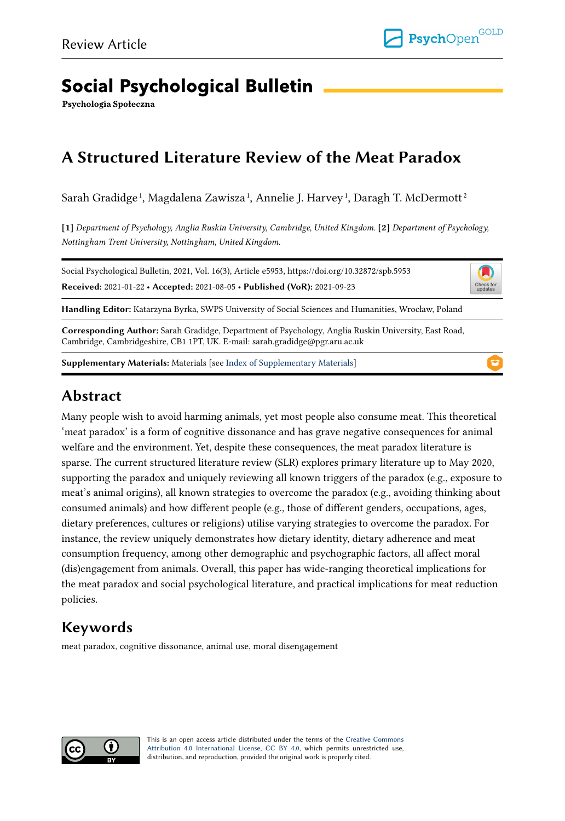# **Social Psychological Bulletin**

Psychologia Społeczna

## **A Structured Literature Review of the Meat Paradox**

Sarah Gradidge $^{\rm l}$ , Magdalena Zawisza $^{\rm l}$ , Annelie J. Harvey $^{\rm l}$ , Daragh T. McDermott $^{\rm 2}$ 

**[1]** *Department of Psychology, Anglia Ruskin University, Cambridge, United Kingdom.* **[2]** *Department of Psychology, Nottingham Trent University, Nottingham, United Kingdom.* 

Social Psychological Bulletin, 2021, Vol. 16(3), Article e5953, https://doi.org/10.32872/spb.5953 **Received:** 2021-01-22 • **Accepted:** 2021-08-05 • **Published (VoR):** 2021-09-23



**Handling Editor:** Katarzyna Byrka, SWPS University of Social Sciences and Humanities, Wrocław, Poland

**Corresponding Author:** Sarah Gradidge, Department of Psychology, Anglia Ruskin University, East Road, Cambridge, Cambridgeshire, CB1 1PT, UK. E-mail: sarah.gradidge@pgr.aru.ac.uk

**Supplementary Materials:** Materials [see [Index of Supplementary Materials\]](#page-21-0)

## **Abstract**

Many people wish to avoid harming animals, yet most people also consume meat. This theoretical 'meat paradox' is a form of cognitive dissonance and has grave negative consequences for animal welfare and the environment. Yet, despite these consequences, the meat paradox literature is sparse. The current structured literature review (SLR) explores primary literature up to May 2020, supporting the paradox and uniquely reviewing all known triggers of the paradox (e.g., exposure to meat's animal origins), all known strategies to overcome the paradox (e.g., avoiding thinking about consumed animals) and how different people (e.g., those of different genders, occupations, ages, dietary preferences, cultures or religions) utilise varying strategies to overcome the paradox. For instance, the review uniquely demonstrates how dietary identity, dietary adherence and meat consumption frequency, among other demographic and psychographic factors, all affect moral (dis)engagement from animals. Overall, this paper has wide-ranging theoretical implications for the meat paradox and social psychological literature, and practical implications for meat reduction policies.

## **Keywords**

meat paradox, cognitive dissonance, animal use, moral disengagement



This is an open access article distributed under the terms of the [Creative Commons](https://creativecommons.org/licenses/by/4.0/) [Attribution 4.0 International License, CC BY 4.0](https://creativecommons.org/licenses/by/4.0/), which permits unrestricted use, distribution, and reproduction, provided the original work is properly cited.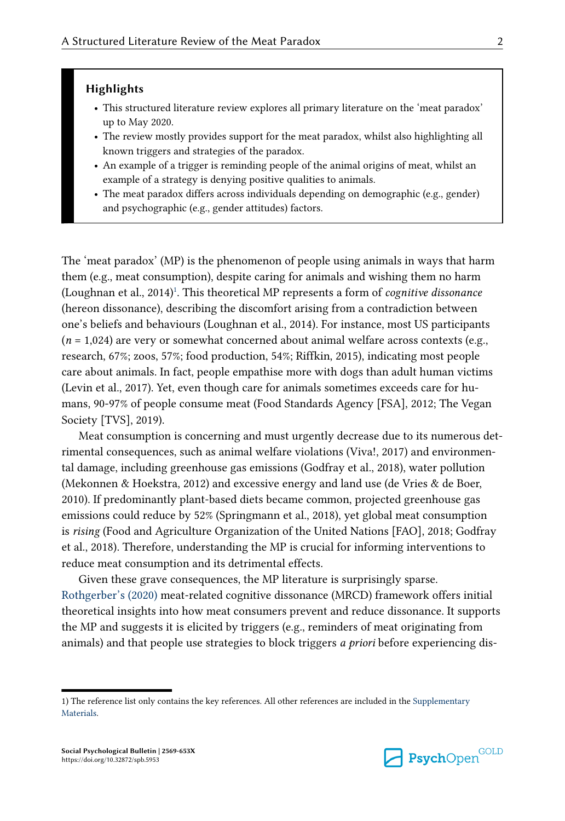#### **Highlights**

- **•** This structured literature review explores all primary literature on the 'meat paradox' up to May 2020.
- **•** The review mostly provides support for the meat paradox, whilst also highlighting all known triggers and strategies of the paradox.
- **•** An example of a trigger is reminding people of the animal origins of meat, whilst an example of a strategy is denying positive qualities to animals.
- **•** The meat paradox differs across individuals depending on demographic (e.g., gender) and psychographic (e.g., gender attitudes) factors.

The 'meat paradox' (MP) is the phenomenon of people using animals in ways that harm them (e.g., meat consumption), despite caring for animals and wishing them no harm (Loughnan et al., 2014)<sup>1</sup>. This theoretical MP represents a form of *cognitive dissonance* (hereon dissonance), describing the discomfort arising from a contradiction between one's beliefs and behaviours (Loughnan et al., 2014). For instance, most US participants  $(n = 1,024)$  are very or somewhat concerned about animal welfare across contexts (e.g., research, 67%; zoos, 57%; food production, 54%; Riffkin, 2015), indicating most people care about animals. In fact, people empathise more with dogs than adult human victims (Levin et al., 2017). Yet, even though care for animals sometimes exceeds care for humans, 90-97% of people consume meat (Food Standards Agency [FSA], 2012; The Vegan Society [TVS], 2019).

Meat consumption is concerning and must urgently decrease due to its numerous detrimental consequences, such as animal welfare violations (Viva!, 2017) and environmental damage, including greenhouse gas emissions (Godfray et al., 2018), water pollution (Mekonnen & Hoekstra, 2012) and excessive energy and land use (de Vries & de Boer, 2010). If predominantly plant-based diets became common, projected greenhouse gas emissions could reduce by 52% (Springmann et al., 2018), yet global meat consumption is *rising* (Food and Agriculture Organization of the United Nations [FAO], 2018; Godfray et al., 2018). Therefore, understanding the MP is crucial for informing interventions to reduce meat consumption and its detrimental effects.

Given these grave consequences, the MP literature is surprisingly sparse. [Rothgerber's \(2020\)](#page-24-0) meat-related cognitive dissonance (MRCD) framework offers initial theoretical insights into how meat consumers prevent and reduce dissonance. It supports the MP and suggests it is elicited by triggers (e.g., reminders of meat originating from animals) and that people use strategies to block triggers *a priori* before experiencing dis-



**Psych**Open<sup>GOLD</sup>

<sup>1)</sup> The reference list only contains the key references. All other references are included in the [Supplementary](#page-21-0) [Materials](#page-21-0).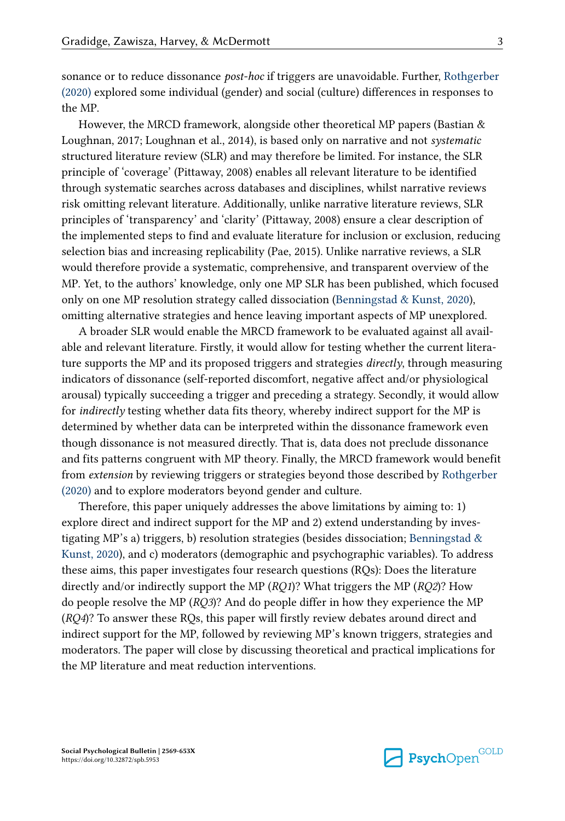sonance or to reduce dissonance *post-hoc* if triggers are unavoidable. Further, [Rothgerber](#page-24-0)  [\(2020\)](#page-24-0) explored some individual (gender) and social (culture) differences in responses to the MP.

However, the MRCD framework, alongside other theoretical MP papers (Bastian & Loughnan, 2017; Loughnan et al., 2014), is based only on narrative and not *systematic*  structured literature review (SLR) and may therefore be limited. For instance, the SLR principle of 'coverage' (Pittaway, 2008) enables all relevant literature to be identified through systematic searches across databases and disciplines, whilst narrative reviews risk omitting relevant literature. Additionally, unlike narrative literature reviews, SLR principles of 'transparency' and 'clarity' (Pittaway, 2008) ensure a clear description of the implemented steps to find and evaluate literature for inclusion or exclusion, reducing selection bias and increasing replicability (Pae, 2015). Unlike narrative reviews, a SLR would therefore provide a systematic, comprehensive, and transparent overview of the MP. Yet, to the authors' knowledge, only one MP SLR has been published, which focused only on one MP resolution strategy called dissociation [\(Benningstad & Kunst, 2020\)](#page-22-0), omitting alternative strategies and hence leaving important aspects of MP unexplored.

A broader SLR would enable the MRCD framework to be evaluated against all available and relevant literature. Firstly, it would allow for testing whether the current literature supports the MP and its proposed triggers and strategies *directly*, through measuring indicators of dissonance (self-reported discomfort, negative affect and/or physiological arousal) typically succeeding a trigger and preceding a strategy. Secondly, it would allow for *indirectly* testing whether data fits theory, whereby indirect support for the MP is determined by whether data can be interpreted within the dissonance framework even though dissonance is not measured directly. That is, data does not preclude dissonance and fits patterns congruent with MP theory. Finally, the MRCD framework would benefit from *extension* by reviewing triggers or strategies beyond those described by [Rothgerber](#page-24-0) [\(2020\)](#page-24-0) and to explore moderators beyond gender and culture.

Therefore, this paper uniquely addresses the above limitations by aiming to: 1) explore direct and indirect support for the MP and 2) extend understanding by investigating MP's a) triggers, b) resolution strategies (besides dissociation; [Benningstad &](#page-22-0)  [Kunst, 2020](#page-22-0)), and c) moderators (demographic and psychographic variables). To address these aims, this paper investigates four research questions (RQs): Does the literature directly and/or indirectly support the MP (*RQ1*)? What triggers the MP (*RQ2*)? How do people resolve the MP (*RQ3*)? And do people differ in how they experience the MP (*RQ4*)? To answer these RQs, this paper will firstly review debates around direct and indirect support for the MP, followed by reviewing MP's known triggers, strategies and moderators. The paper will close by discussing theoretical and practical implications for the MP literature and meat reduction interventions.

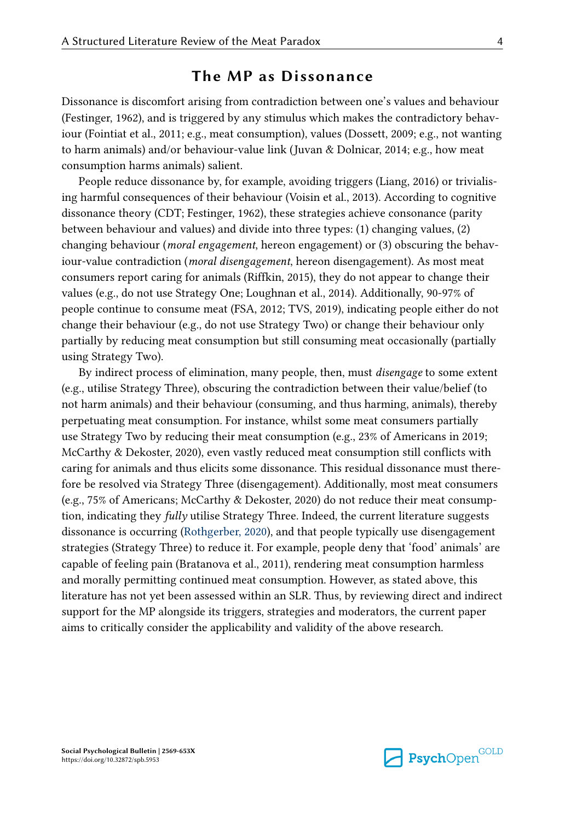## **The MP as Dissonance**

Dissonance is discomfort arising from contradiction between one's values and behaviour (Festinger, 1962), and is triggered by any stimulus which makes the contradictory behaviour (Fointiat et al., 2011; e.g., meat consumption), values (Dossett, 2009; e.g., not wanting to harm animals) and/or behaviour-value link (Juvan & Dolnicar, 2014; e.g., how meat consumption harms animals) salient.

People reduce dissonance by, for example, avoiding triggers (Liang, 2016) or trivialising harmful consequences of their behaviour (Voisin et al., 2013). According to cognitive dissonance theory (CDT; Festinger, 1962), these strategies achieve consonance (parity between behaviour and values) and divide into three types: (1) changing values, (2) changing behaviour (*moral engagement*, hereon engagement) or (3) obscuring the behaviour-value contradiction (*moral disengagement*, hereon disengagement). As most meat consumers report caring for animals (Riffkin, 2015), they do not appear to change their values (e.g., do not use Strategy One; Loughnan et al., 2014). Additionally, 90-97% of people continue to consume meat (FSA, 2012; TVS, 2019), indicating people either do not change their behaviour (e.g., do not use Strategy Two) or change their behaviour only partially by reducing meat consumption but still consuming meat occasionally (partially using Strategy Two).

By indirect process of elimination, many people, then, must *disengage* to some extent (e.g., utilise Strategy Three), obscuring the contradiction between their value/belief (to not harm animals) and their behaviour (consuming, and thus harming, animals), thereby perpetuating meat consumption. For instance, whilst some meat consumers partially use Strategy Two by reducing their meat consumption (e.g., 23% of Americans in 2019; McCarthy & Dekoster, 2020), even vastly reduced meat consumption still conflicts with caring for animals and thus elicits some dissonance. This residual dissonance must therefore be resolved via Strategy Three (disengagement). Additionally, most meat consumers (e.g., 75% of Americans; McCarthy & Dekoster, 2020) do not reduce their meat consumption, indicating they *fully* utilise Strategy Three. Indeed, the current literature suggests dissonance is occurring [\(Rothgerber, 2020](#page-24-0)), and that people typically use disengagement strategies (Strategy Three) to reduce it. For example, people deny that 'food' animals' are capable of feeling pain (Bratanova et al., 2011), rendering meat consumption harmless and morally permitting continued meat consumption. However, as stated above, this literature has not yet been assessed within an SLR. Thus, by reviewing direct and indirect support for the MP alongside its triggers, strategies and moderators, the current paper aims to critically consider the applicability and validity of the above research.

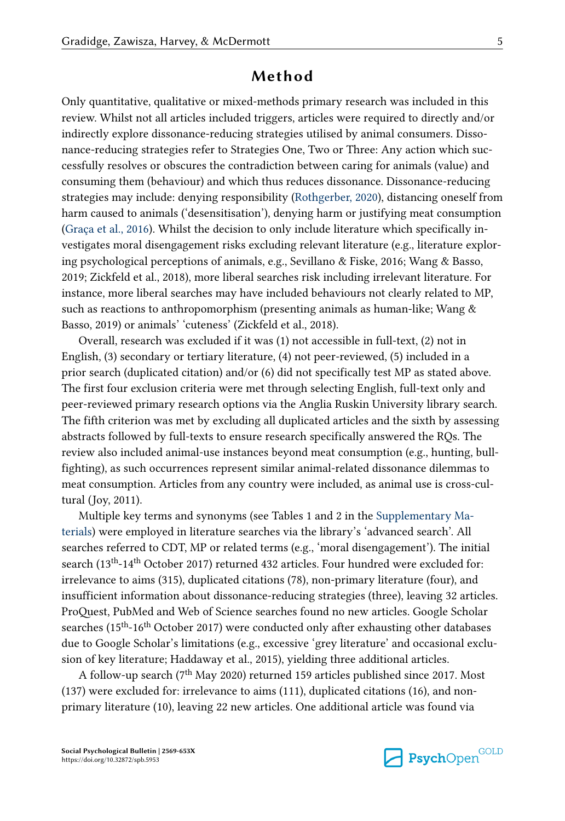## **Method**

Only quantitative, qualitative or mixed-methods primary research was included in this review. Whilst not all articles included triggers, articles were required to directly and/or indirectly explore dissonance-reducing strategies utilised by animal consumers. Dissonance-reducing strategies refer to Strategies One, Two or Three: Any action which successfully resolves or obscures the contradiction between caring for animals (value) and consuming them (behaviour) and which thus reduces dissonance. Dissonance-reducing strategies may include: denying responsibility [\(Rothgerber, 2020\)](#page-24-0), distancing oneself from harm caused to animals ('desensitisation'), denying harm or justifying meat consumption [\(Graça et al., 2016](#page-22-0)). Whilst the decision to only include literature which specifically investigates moral disengagement risks excluding relevant literature (e.g., literature exploring psychological perceptions of animals, e.g., Sevillano & Fiske, 2016; Wang & Basso, 2019; Zickfeld et al., 2018), more liberal searches risk including irrelevant literature. For instance, more liberal searches may have included behaviours not clearly related to MP, such as reactions to anthropomorphism (presenting animals as human-like; Wang & Basso, 2019) or animals' 'cuteness' (Zickfeld et al., 2018).

Overall, research was excluded if it was (1) not accessible in full-text, (2) not in English, (3) secondary or tertiary literature, (4) not peer-reviewed, (5) included in a prior search (duplicated citation) and/or (6) did not specifically test MP as stated above. The first four exclusion criteria were met through selecting English, full-text only and peer-reviewed primary research options via the Anglia Ruskin University library search. The fifth criterion was met by excluding all duplicated articles and the sixth by assessing abstracts followed by full-texts to ensure research specifically answered the RQs. The review also included animal-use instances beyond meat consumption (e.g., hunting, bullfighting), as such occurrences represent similar animal-related dissonance dilemmas to meat consumption. Articles from any country were included, as animal use is cross-cultural (Joy, 2011).

Multiple key terms and synonyms (see Tables 1 and 2 in the [Supplementary Ma](#page-21-0)[terials](#page-21-0)) were employed in literature searches via the library's 'advanced search'. All searches referred to CDT, MP or related terms (e.g., 'moral disengagement'). The initial search (13<sup>th</sup>-14<sup>th</sup> October 2017) returned 432 articles. Four hundred were excluded for: irrelevance to aims (315), duplicated citations (78), non-primary literature (four), and insufficient information about dissonance-reducing strategies (three), leaving 32 articles. ProQuest, PubMed and Web of Science searches found no new articles. Google Scholar searches (15<sup>th</sup>-16<sup>th</sup> October 2017) were conducted only after exhausting other databases due to Google Scholar's limitations (e.g., excessive 'grey literature' and occasional exclusion of key literature; Haddaway et al., 2015), yielding three additional articles.

A follow-up search (7th May 2020) returned 159 articles published since 2017. Most (137) were excluded for: irrelevance to aims (111), duplicated citations (16), and nonprimary literature (10), leaving 22 new articles. One additional article was found via

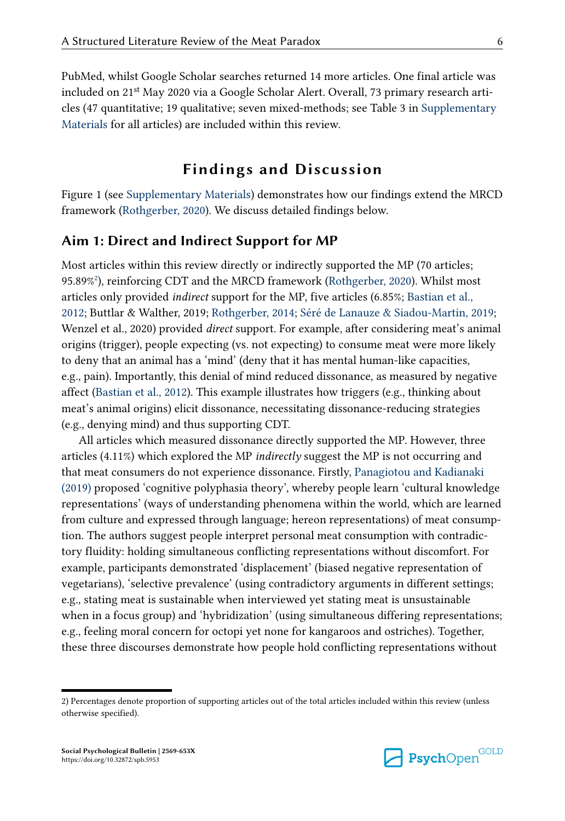PubMed, whilst Google Scholar searches returned 14 more articles. One final article was included on 21st May 2020 via a Google Scholar Alert. Overall, 73 primary research articles (47 quantitative; 19 qualitative; seven mixed-methods; see Table 3 in [Supplementary](#page-21-0) [Materials](#page-21-0) for all articles) are included within this review.

## **Findings and Discussion**

Figure 1 (see [Supplementary Materials\)](#page-21-0) demonstrates how our findings extend the MRCD framework [\(Rothgerber, 2020](#page-24-0)). We discuss detailed findings below.

#### **Aim 1: Direct and Indirect Support for MP**

Most articles within this review directly or indirectly supported the MP (70 articles; 95.89%<sup>2</sup> ), reinforcing CDT and the MRCD framework [\(Rothgerber, 2020\)](#page-24-0). Whilst most articles only provided *indirect* support for the MP, five articles (6.85%; [Bastian et al.,](#page-22-0)  [2012;](#page-22-0) Buttlar & Walther, 2019; [Rothgerber, 2014;](#page-24-0) [Séré de Lanauze & Siadou-Martin, 2019;](#page-24-0) Wenzel et al., 2020) provided *direct* support. For example, after considering meat's animal origins (trigger), people expecting (vs. not expecting) to consume meat were more likely to deny that an animal has a 'mind' (deny that it has mental human-like capacities, e.g., pain). Importantly, this denial of mind reduced dissonance, as measured by negative affect [\(Bastian et al., 2012\)](#page-22-0). This example illustrates how triggers (e.g., thinking about meat's animal origins) elicit dissonance, necessitating dissonance-reducing strategies (e.g., denying mind) and thus supporting CDT.

All articles which measured dissonance directly supported the MP. However, three articles (4.11%) which explored the MP *indirectly* suggest the MP is not occurring and that meat consumers do not experience dissonance. Firstly, [Panagiotou and Kadianaki](#page-24-0)  [\(2019\)](#page-24-0) proposed 'cognitive polyphasia theory', whereby people learn 'cultural knowledge representations' (ways of understanding phenomena within the world, which are learned from culture and expressed through language; hereon representations) of meat consumption. The authors suggest people interpret personal meat consumption with contradictory fluidity: holding simultaneous conflicting representations without discomfort. For example, participants demonstrated 'displacement' (biased negative representation of vegetarians), 'selective prevalence' (using contradictory arguments in different settings; e.g., stating meat is sustainable when interviewed yet stating meat is unsustainable when in a focus group) and 'hybridization' (using simultaneous differing representations; e.g., feeling moral concern for octopi yet none for kangaroos and ostriches). Together, these three discourses demonstrate how people hold conflicting representations without



<sup>2)</sup> Percentages denote proportion of supporting articles out of the total articles included within this review (unless otherwise specified).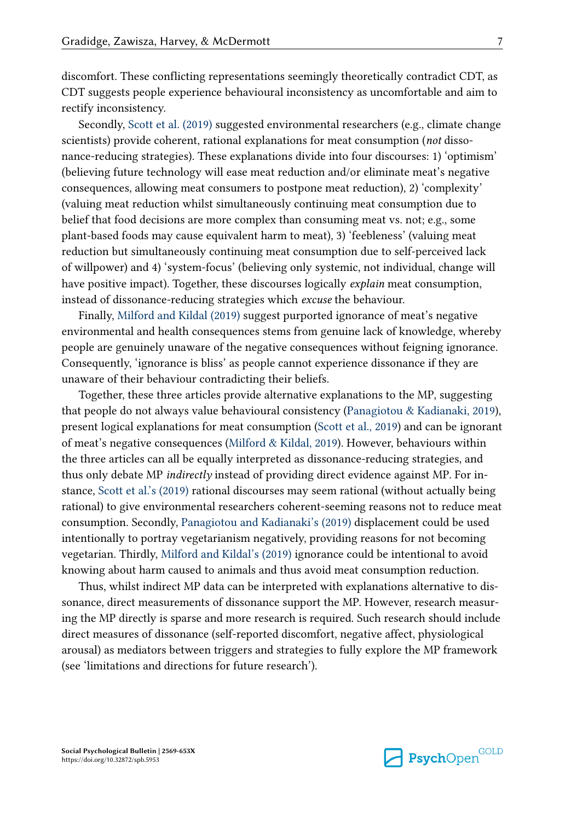discomfort. These conflicting representations seemingly theoretically contradict CDT, as CDT suggests people experience behavioural inconsistency as uncomfortable and aim to rectify inconsistency.

Secondly, [Scott et al. \(2019\)](#page-24-0) suggested environmental researchers (e.g., climate change scientists) provide coherent, rational explanations for meat consumption (*not* dissonance-reducing strategies). These explanations divide into four discourses: 1) 'optimism' (believing future technology will ease meat reduction and/or eliminate meat's negative consequences, allowing meat consumers to postpone meat reduction), 2) 'complexity' (valuing meat reduction whilst simultaneously continuing meat consumption due to belief that food decisions are more complex than consuming meat vs. not; e.g., some plant-based foods may cause equivalent harm to meat), 3) 'feebleness' (valuing meat reduction but simultaneously continuing meat consumption due to self-perceived lack of willpower) and 4) 'system-focus' (believing only systemic, not individual, change will have positive impact). Together, these discourses logically *explain* meat consumption, instead of dissonance-reducing strategies which *excuse* the behaviour.

Finally, [Milford and Kildal \(2019\)](#page-23-0) suggest purported ignorance of meat's negative environmental and health consequences stems from genuine lack of knowledge, whereby people are genuinely unaware of the negative consequences without feigning ignorance. Consequently, 'ignorance is bliss' as people cannot experience dissonance if they are unaware of their behaviour contradicting their beliefs.

Together, these three articles provide alternative explanations to the MP, suggesting that people do not always value behavioural consistency ([Panagiotou & Kadianaki, 2019](#page-24-0)), present logical explanations for meat consumption [\(Scott et al., 2019](#page-24-0)) and can be ignorant of meat's negative consequences ([Milford & Kildal, 2019](#page-23-0)). However, behaviours within the three articles can all be equally interpreted as dissonance-reducing strategies, and thus only debate MP *indirectly* instead of providing direct evidence against MP. For instance, [Scott et al.'s \(2019\)](#page-24-0) rational discourses may seem rational (without actually being rational) to give environmental researchers coherent-seeming reasons not to reduce meat consumption. Secondly, [Panagiotou and Kadianaki's \(2019\)](#page-24-0) displacement could be used intentionally to portray vegetarianism negatively, providing reasons for not becoming vegetarian. Thirdly, [Milford and Kildal's \(2019\)](#page-23-0) ignorance could be intentional to avoid knowing about harm caused to animals and thus avoid meat consumption reduction.

Thus, whilst indirect MP data can be interpreted with explanations alternative to dissonance, direct measurements of dissonance support the MP. However, research measuring the MP directly is sparse and more research is required. Such research should include direct measures of dissonance (self-reported discomfort, negative affect, physiological arousal) as mediators between triggers and strategies to fully explore the MP framework (see 'limitations and directions for future research').



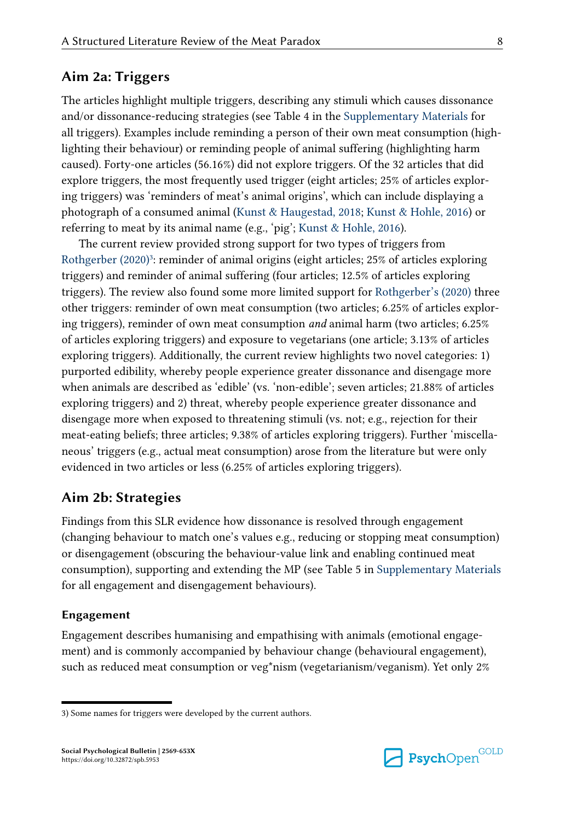#### **Aim 2a: Triggers**

The articles highlight multiple triggers, describing any stimuli which causes dissonance and/or dissonance-reducing strategies (see Table 4 in the [Supplementary Materials](#page-21-0) for all triggers). Examples include reminding a person of their own meat consumption (highlighting their behaviour) or reminding people of animal suffering (highlighting harm caused). Forty-one articles (56.16%) did not explore triggers. Of the 32 articles that did explore triggers, the most frequently used trigger (eight articles; 25% of articles exploring triggers) was 'reminders of meat's animal origins', which can include displaying a photograph of a consumed animal [\(Kunst & Haugestad, 2018;](#page-23-0) [Kunst & Hohle, 2016](#page-23-0)) or referring to meat by its animal name (e.g., 'pig'; [Kunst & Hohle, 2016\)](#page-23-0).

The current review provided strong support for two types of triggers from [Rothgerber \(2020\)](#page-24-0)<sup>3</sup>: reminder of animal origins (eight articles; 25% of articles exploring triggers) and reminder of animal suffering (four articles; 12.5% of articles exploring triggers). The review also found some more limited support for [Rothgerber's \(2020\)](#page-24-0) three other triggers: reminder of own meat consumption (two articles; 6.25% of articles exploring triggers), reminder of own meat consumption *and* animal harm (two articles; 6.25% of articles exploring triggers) and exposure to vegetarians (one article; 3.13% of articles exploring triggers). Additionally, the current review highlights two novel categories: 1) purported edibility, whereby people experience greater dissonance and disengage more when animals are described as 'edible' (vs. 'non-edible'; seven articles; 21.88% of articles exploring triggers) and 2) threat, whereby people experience greater dissonance and disengage more when exposed to threatening stimuli (vs. not; e.g., rejection for their meat-eating beliefs; three articles; 9.38% of articles exploring triggers). Further 'miscellaneous' triggers (e.g., actual meat consumption) arose from the literature but were only evidenced in two articles or less (6.25% of articles exploring triggers).

#### **Aim 2b: Strategies**

Findings from this SLR evidence how dissonance is resolved through engagement (changing behaviour to match one's values e.g., reducing or stopping meat consumption) or disengagement (obscuring the behaviour-value link and enabling continued meat consumption), supporting and extending the MP (see Table 5 in [Supplementary Materials](#page-21-0) for all engagement and disengagement behaviours).

#### **Engagement**

Engagement describes humanising and empathising with animals (emotional engagement) and is commonly accompanied by behaviour change (behavioural engagement), such as reduced meat consumption or veg\*nism (vegetarianism/veganism). Yet only 2%



<sup>3)</sup> Some names for triggers were developed by the current authors.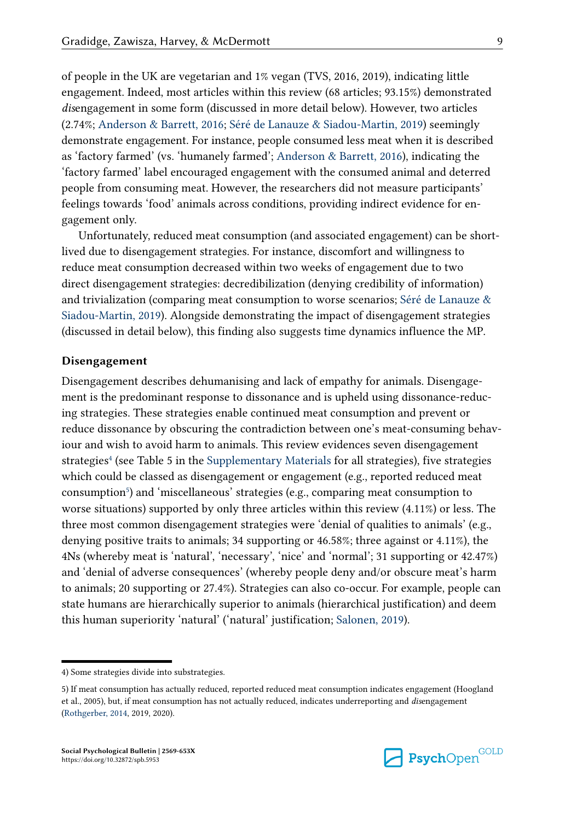of people in the UK are vegetarian and 1% vegan (TVS, 2016, 2019), indicating little engagement. Indeed, most articles within this review (68 articles; 93.15%) demonstrated *dis*engagement in some form (discussed in more detail below). However, two articles (2.74%; [Anderson & Barrett, 2016](#page-21-0); [Séré de Lanauze & Siadou-Martin, 2019](#page-24-0)) seemingly demonstrate engagement. For instance, people consumed less meat when it is described as 'factory farmed' (vs. 'humanely farmed'; [Anderson & Barrett, 2016](#page-21-0)), indicating the 'factory farmed' label encouraged engagement with the consumed animal and deterred people from consuming meat. However, the researchers did not measure participants' feelings towards 'food' animals across conditions, providing indirect evidence for engagement only.

Unfortunately, reduced meat consumption (and associated engagement) can be shortlived due to disengagement strategies. For instance, discomfort and willingness to reduce meat consumption decreased within two weeks of engagement due to two direct disengagement strategies: decredibilization (denying credibility of information) and trivialization (comparing meat consumption to worse scenarios; [Séré de Lanauze &](#page-24-0) [Siadou-Martin, 2019](#page-24-0)). Alongside demonstrating the impact of disengagement strategies (discussed in detail below), this finding also suggests time dynamics influence the MP.

#### **Disengagement**

Disengagement describes dehumanising and lack of empathy for animals. Disengagement is the predominant response to dissonance and is upheld using dissonance-reducing strategies. These strategies enable continued meat consumption and prevent or reduce dissonance by obscuring the contradiction between one's meat-consuming behaviour and wish to avoid harm to animals. This review evidences seven disengagement strategies<sup>4</sup> (see Table 5 in the [Supplementary Materials](#page-21-0) for all strategies), five strategies which could be classed as disengagement or engagement (e.g., reported reduced meat consumption<sup>5</sup>) and 'miscellaneous' strategies (e.g., comparing meat consumption to worse situations) supported by only three articles within this review (4.11%) or less. The three most common disengagement strategies were 'denial of qualities to animals' (e.g., denying positive traits to animals; 34 supporting or 46.58%; three against or 4.11%), the 4Ns (whereby meat is 'natural', 'necessary', 'nice' and 'normal'; 31 supporting or 42.47%) and 'denial of adverse consequences' (whereby people deny and/or obscure meat's harm to animals; 20 supporting or 27.4%). Strategies can also co-occur. For example, people can state humans are hierarchically superior to animals (hierarchical justification) and deem this human superiority 'natural' ('natural' justification; [Salonen, 2019](#page-24-0)).



<sup>4)</sup> Some strategies divide into substrategies.

<sup>5)</sup> If meat consumption has actually reduced, reported reduced meat consumption indicates engagement (Hoogland et al., 2005), but, if meat consumption has not actually reduced, indicates underreporting and *dis*engagement [\(Rothgerber, 2014](#page-24-0), 2019, 2020).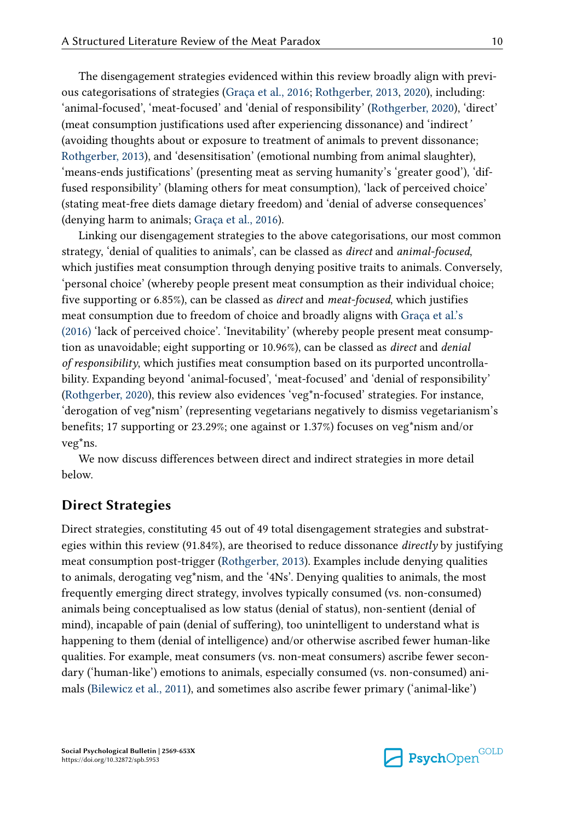The disengagement strategies evidenced within this review broadly align with previous categorisations of strategies [\(Graça et al., 2016](#page-22-0); [Rothgerber, 2013,](#page-24-0) [2020](#page-24-0)), including: 'animal-focused', 'meat-focused' and 'denial of responsibility' ([Rothgerber, 2020](#page-24-0)), 'direct' (meat consumption justifications used after experiencing dissonance) and 'indirect*'*  (avoiding thoughts about or exposure to treatment of animals to prevent dissonance; [Rothgerber, 2013\)](#page-24-0), and 'desensitisation' (emotional numbing from animal slaughter), 'means-ends justifications' (presenting meat as serving humanity's 'greater good'), 'diffused responsibility' (blaming others for meat consumption), 'lack of perceived choice' (stating meat-free diets damage dietary freedom) and 'denial of adverse consequences' (denying harm to animals; [Graça et al., 2016](#page-22-0)).

Linking our disengagement strategies to the above categorisations, our most common strategy, 'denial of qualities to animals', can be classed as *direct* and *animal-focused*, which justifies meat consumption through denying positive traits to animals. Conversely, 'personal choice' (whereby people present meat consumption as their individual choice; five supporting or 6.85%), can be classed as *direct* and *meat-focused*, which justifies meat consumption due to freedom of choice and broadly aligns with [Graça et al.'s](#page-22-0)  [\(2016\)](#page-22-0) 'lack of perceived choice'. 'Inevitability' (whereby people present meat consumption as unavoidable; eight supporting or 10.96%), can be classed as *direct* and *denial of responsibility*, which justifies meat consumption based on its purported uncontrollability. Expanding beyond 'animal-focused', 'meat-focused' and 'denial of responsibility' [\(Rothgerber, 2020\)](#page-24-0), this review also evidences 'veg\*n-focused' strategies. For instance, 'derogation of veg\*nism' (representing vegetarians negatively to dismiss vegetarianism's benefits; 17 supporting or 23.29%; one against or 1.37%) focuses on veg\*nism and/or veg\*ns.

We now discuss differences between direct and indirect strategies in more detail below.

#### **Direct Strategies**

Direct strategies, constituting 45 out of 49 total disengagement strategies and substrategies within this review (91.84%), are theorised to reduce dissonance *directly* by justifying meat consumption post-trigger [\(Rothgerber, 2013](#page-24-0)). Examples include denying qualities to animals, derogating veg\*nism, and the '4Ns'. Denying qualities to animals, the most frequently emerging direct strategy, involves typically consumed (vs. non-consumed) animals being conceptualised as low status (denial of status), non-sentient (denial of mind), incapable of pain (denial of suffering), too unintelligent to understand what is happening to them (denial of intelligence) and/or otherwise ascribed fewer human-like qualities. For example, meat consumers (vs. non-meat consumers) ascribe fewer secondary ('human-like') emotions to animals, especially consumed (vs. non-consumed) animals ([Bilewicz et al., 2011](#page-22-0)), and sometimes also ascribe fewer primary ('animal-like')

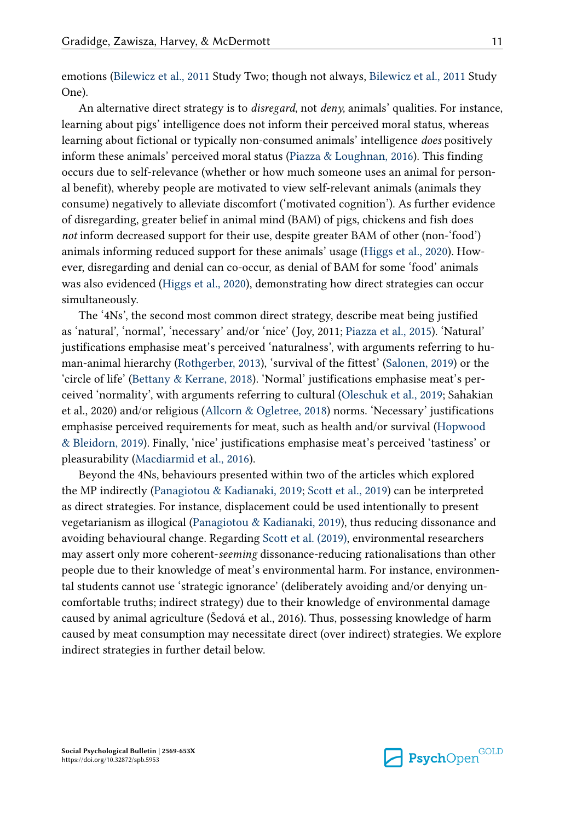emotions [\(Bilewicz et al., 2011](#page-22-0) Study Two; though not always, [Bilewicz et al., 2011](#page-22-0) Study One).

An alternative direct strategy is to *disregard*, not *deny,* animals' qualities. For instance, learning about pigs' intelligence does not inform their perceived moral status, whereas learning about fictional or typically non-consumed animals' intelligence *does* positively inform these animals' perceived moral status ([Piazza & Loughnan, 2016](#page-24-0)). This finding occurs due to self-relevance (whether or how much someone uses an animal for personal benefit), whereby people are motivated to view self-relevant animals (animals they consume) negatively to alleviate discomfort ('motivated cognition'). As further evidence of disregarding, greater belief in animal mind (BAM) of pigs, chickens and fish does *not* inform decreased support for their use, despite greater BAM of other (non-'food') animals informing reduced support for these animals' usage ([Higgs et al., 2020\)](#page-23-0). However, disregarding and denial can co-occur, as denial of BAM for some 'food' animals was also evidenced ([Higgs et al., 2020\)](#page-23-0), demonstrating how direct strategies can occur simultaneously.

The '4Ns', the second most common direct strategy, describe meat being justified as 'natural', 'normal', 'necessary' and/or 'nice' (Joy, 2011; [Piazza et al., 2015\)](#page-24-0). 'Natural' justifications emphasise meat's perceived 'naturalness', with arguments referring to human-animal hierarchy [\(Rothgerber, 2013\)](#page-24-0), 'survival of the fittest' ([Salonen, 2019\)](#page-24-0) or the 'circle of life' [\(Bettany & Kerrane, 2018](#page-22-0)). 'Normal' justifications emphasise meat's perceived 'normality', with arguments referring to cultural [\(Oleschuk et al., 2019;](#page-23-0) Sahakian et al., 2020) and/or religious ([Allcorn & Ogletree, 2018\)](#page-21-0) norms. 'Necessary' justifications emphasise perceived requirements for meat, such as health and/or survival [\(Hopwood](#page-23-0) [& Bleidorn, 2019\)](#page-23-0). Finally, 'nice' justifications emphasise meat's perceived 'tastiness' or pleasurability [\(Macdiarmid et al., 2016](#page-23-0)).

Beyond the 4Ns, behaviours presented within two of the articles which explored the MP indirectly ([Panagiotou & Kadianaki, 2019](#page-24-0); [Scott et al., 2019\)](#page-24-0) can be interpreted as direct strategies. For instance, displacement could be used intentionally to present vegetarianism as illogical ([Panagiotou & Kadianaki, 2019](#page-24-0)), thus reducing dissonance and avoiding behavioural change. Regarding [Scott et al. \(2019\)](#page-24-0), environmental researchers may assert only more coherent-*seeming* dissonance-reducing rationalisations than other people due to their knowledge of meat's environmental harm. For instance, environmental students cannot use 'strategic ignorance' (deliberately avoiding and/or denying uncomfortable truths; indirect strategy) due to their knowledge of environmental damage caused by animal agriculture (Šedová et al., 2016). Thus, possessing knowledge of harm caused by meat consumption may necessitate direct (over indirect) strategies. We explore indirect strategies in further detail below.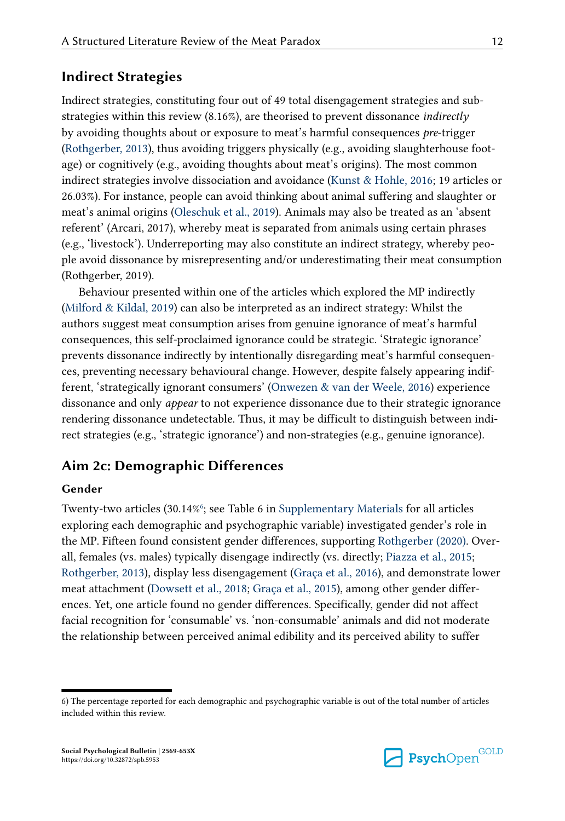#### **Indirect Strategies**

Indirect strategies, constituting four out of 49 total disengagement strategies and substrategies within this review (8.16%), are theorised to prevent dissonance *indirectly*  by avoiding thoughts about or exposure to meat's harmful consequences *pre*-trigger [\(Rothgerber, 2013\)](#page-24-0), thus avoiding triggers physically (e.g., avoiding slaughterhouse footage) or cognitively (e.g., avoiding thoughts about meat's origins). The most common indirect strategies involve dissociation and avoidance [\(Kunst & Hohle, 2016;](#page-23-0) 19 articles or 26.03%). For instance, people can avoid thinking about animal suffering and slaughter or meat's animal origins [\(Oleschuk et al., 2019\)](#page-23-0). Animals may also be treated as an 'absent referent' (Arcari, 2017), whereby meat is separated from animals using certain phrases (e.g., 'livestock'). Underreporting may also constitute an indirect strategy, whereby people avoid dissonance by misrepresenting and/or underestimating their meat consumption (Rothgerber, 2019).

Behaviour presented within one of the articles which explored the MP indirectly [\(Milford & Kildal, 2019\)](#page-23-0) can also be interpreted as an indirect strategy: Whilst the authors suggest meat consumption arises from genuine ignorance of meat's harmful consequences, this self-proclaimed ignorance could be strategic. 'Strategic ignorance' prevents dissonance indirectly by intentionally disregarding meat's harmful consequences, preventing necessary behavioural change. However, despite falsely appearing indifferent, 'strategically ignorant consumers' ([Onwezen & van der Weele, 2016](#page-23-0)) experience dissonance and only *appear* to not experience dissonance due to their strategic ignorance rendering dissonance undetectable. Thus, it may be difficult to distinguish between indirect strategies (e.g., 'strategic ignorance') and non-strategies (e.g., genuine ignorance).

#### **Aim 2c: Demographic Differences**

#### **Gender**

Twenty-two articles (30.14%<sup>6</sup>; see Table 6 in [Supplementary Materials](#page-21-0) for all articles exploring each demographic and psychographic variable) investigated gender's role in the MP. Fifteen found consistent gender differences, supporting [Rothgerber \(2020\)](#page-24-0). Overall, females (vs. males) typically disengage indirectly (vs. directly; [Piazza et al., 2015;](#page-24-0) [Rothgerber, 2013\)](#page-24-0), display less disengagement [\(Graça et al., 2016\)](#page-22-0), and demonstrate lower meat attachment [\(Dowsett et al., 2018;](#page-22-0) [Graça et al., 2015\)](#page-22-0), among other gender differences. Yet, one article found no gender differences. Specifically, gender did not affect facial recognition for 'consumable' vs. 'non-consumable' animals and did not moderate the relationship between perceived animal edibility and its perceived ability to suffer



<sup>6)</sup> The percentage reported for each demographic and psychographic variable is out of the total number of articles included within this review.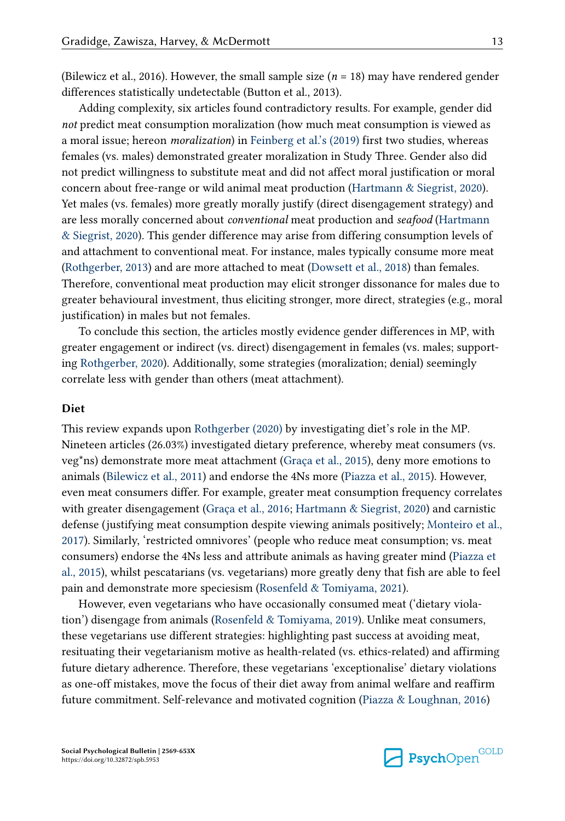(Bilewicz et al., 2016). However, the small sample size (*n* = 18) may have rendered gender differences statistically undetectable (Button et al., 2013).

Adding complexity, six articles found contradictory results. For example, gender did *not* predict meat consumption moralization (how much meat consumption is viewed as a moral issue; hereon *moralization*) in [Feinberg et al.'s \(2019\)](#page-22-0) first two studies, whereas females (vs. males) demonstrated greater moralization in Study Three. Gender also did not predict willingness to substitute meat and did not affect moral justification or moral concern about free-range or wild animal meat production ([Hartmann & Siegrist, 2020](#page-22-0)). Yet males (vs. females) more greatly morally justify (direct disengagement strategy) and are less morally concerned about *conventional* meat production and *seafood* ([Hartmann](#page-22-0)  [& Siegrist, 2020](#page-22-0)). This gender difference may arise from differing consumption levels of and attachment to conventional meat. For instance, males typically consume more meat [\(Rothgerber, 2013\)](#page-24-0) and are more attached to meat ([Dowsett et al., 2018](#page-22-0)) than females. Therefore, conventional meat production may elicit stronger dissonance for males due to greater behavioural investment, thus eliciting stronger, more direct, strategies (e.g., moral justification) in males but not females.

To conclude this section, the articles mostly evidence gender differences in MP, with greater engagement or indirect (vs. direct) disengagement in females (vs. males; supporting [Rothgerber, 2020](#page-24-0)). Additionally, some strategies (moralization; denial) seemingly correlate less with gender than others (meat attachment).

#### **Diet**

This review expands upon [Rothgerber \(2020\)](#page-24-0) by investigating diet's role in the MP. Nineteen articles (26.03%) investigated dietary preference, whereby meat consumers (vs. veg\*ns) demonstrate more meat attachment ([Graça et al., 2015](#page-22-0)), deny more emotions to animals [\(Bilewicz et al., 2011\)](#page-22-0) and endorse the 4Ns more ([Piazza et al., 2015\)](#page-24-0). However, even meat consumers differ. For example, greater meat consumption frequency correlates with greater disengagement ([Graça et al., 2016](#page-22-0); [Hartmann & Siegrist, 2020\)](#page-22-0) and carnistic defense (justifying meat consumption despite viewing animals positively; [Monteiro et al.,](#page-23-0) [2017\)](#page-23-0). Similarly, 'restricted omnivores' (people who reduce meat consumption; vs. meat consumers) endorse the 4Ns less and attribute animals as having greater mind [\(Piazza et](#page-24-0)  [al., 2015\)](#page-24-0), whilst pescatarians (vs. vegetarians) more greatly deny that fish are able to feel pain and demonstrate more speciesism ([Rosenfeld & Tomiyama, 2021](#page-24-0)).

However, even vegetarians who have occasionally consumed meat ('dietary violation') disengage from animals ([Rosenfeld & Tomiyama, 2019](#page-24-0)). Unlike meat consumers, these vegetarians use different strategies: highlighting past success at avoiding meat, resituating their vegetarianism motive as health-related (vs. ethics-related) and affirming future dietary adherence. Therefore, these vegetarians 'exceptionalise' dietary violations as one-off mistakes, move the focus of their diet away from animal welfare and reaffirm future commitment. Self-relevance and motivated cognition [\(Piazza & Loughnan, 2016\)](#page-24-0)

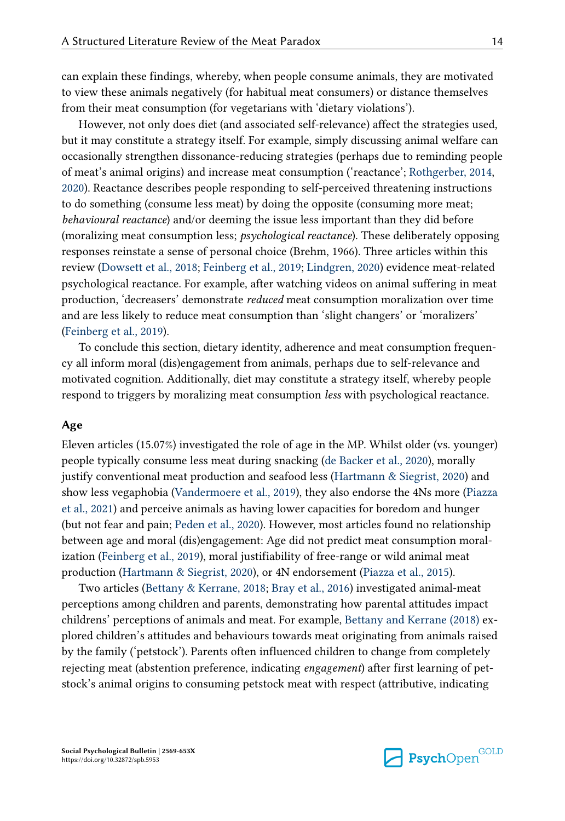can explain these findings, whereby, when people consume animals, they are motivated to view these animals negatively (for habitual meat consumers) or distance themselves from their meat consumption (for vegetarians with 'dietary violations').

However, not only does diet (and associated self-relevance) affect the strategies used, but it may constitute a strategy itself. For example, simply discussing animal welfare can occasionally strengthen dissonance-reducing strategies (perhaps due to reminding people of meat's animal origins) and increase meat consumption ('reactance'; [Rothgerber, 2014,](#page-24-0) [2020\)](#page-24-0). Reactance describes people responding to self-perceived threatening instructions to do something (consume less meat) by doing the opposite (consuming more meat; *behavioural reactance*) and/or deeming the issue less important than they did before (moralizing meat consumption less; *psychological reactance*). These deliberately opposing responses reinstate a sense of personal choice (Brehm, 1966). Three articles within this review [\(Dowsett et al., 2018; Feinberg et al., 2019](#page-22-0); [Lindgren, 2020\)](#page-23-0) evidence meat-related psychological reactance. For example, after watching videos on animal suffering in meat production, 'decreasers' demonstrate *reduced* meat consumption moralization over time and are less likely to reduce meat consumption than 'slight changers' or 'moralizers' [\(Feinberg et al., 2019](#page-22-0)).

To conclude this section, dietary identity, adherence and meat consumption frequency all inform moral (dis)engagement from animals, perhaps due to self-relevance and motivated cognition. Additionally, diet may constitute a strategy itself, whereby people respond to triggers by moralizing meat consumption *less* with psychological reactance.

#### **Age**

Eleven articles (15.07%) investigated the role of age in the MP. Whilst older (vs. younger) people typically consume less meat during snacking [\(de Backer et al., 2020\)](#page-22-0), morally justify conventional meat production and seafood less ([Hartmann & Siegrist, 2020\)](#page-22-0) and show less vegaphobia ([Vandermoere et al., 2019\)](#page-25-0), they also endorse the 4Ns more ([Piazza](#page-24-0) [et al., 2021\)](#page-24-0) and perceive animals as having lower capacities for boredom and hunger (but not fear and pain; [Peden et al., 2020](#page-24-0)). However, most articles found no relationship between age and moral (dis)engagement: Age did not predict meat consumption moralization [\(Feinberg et al., 2019](#page-22-0)), moral justifiability of free-range or wild animal meat production [\(Hartmann & Siegrist, 2020](#page-22-0)), or 4N endorsement ([Piazza et al., 2015](#page-24-0)).

Two articles ([Bettany & Kerrane, 2018](#page-22-0); [Bray et al., 2016\)](#page-22-0) investigated animal-meat perceptions among children and parents, demonstrating how parental attitudes impact childrens' perceptions of animals and meat. For example, [Bettany and Kerrane \(2018\)](#page-22-0) explored children's attitudes and behaviours towards meat originating from animals raised by the family ('petstock'). Parents often influenced children to change from completely rejecting meat (abstention preference, indicating *engagement*) after first learning of petstock's animal origins to consuming petstock meat with respect (attributive, indicating

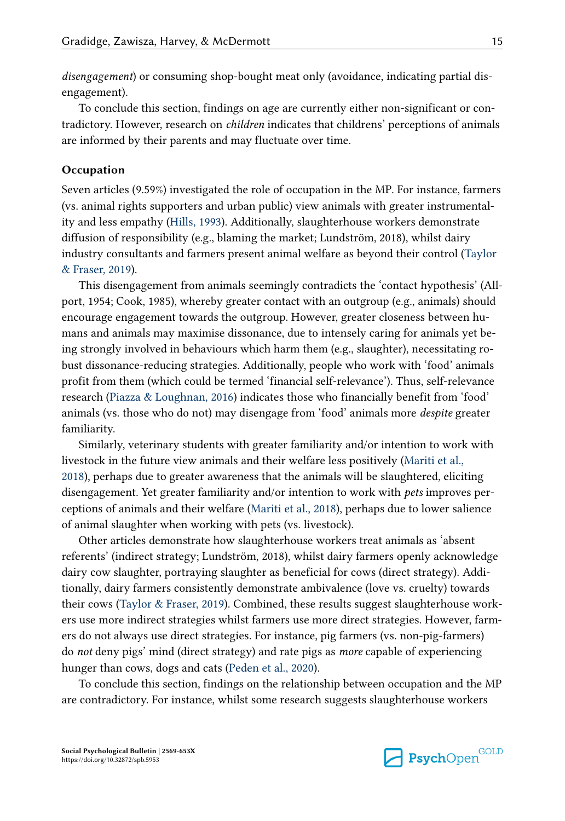*disengagement*) or consuming shop-bought meat only (avoidance, indicating partial disengagement).

To conclude this section, findings on age are currently either non-significant or contradictory. However, research on *children* indicates that childrens' perceptions of animals are informed by their parents and may fluctuate over time.

#### **Occupation**

Seven articles (9.59%) investigated the role of occupation in the MP. For instance, farmers (vs. animal rights supporters and urban public) view animals with greater instrumentality and less empathy ([Hills, 1993](#page-23-0)). Additionally, slaughterhouse workers demonstrate diffusion of responsibility (e.g., blaming the market; Lundström, 2018), whilst dairy industry consultants and farmers present animal welfare as beyond their control ([Taylor](#page-24-0) [& Fraser, 2019\)](#page-24-0).

This disengagement from animals seemingly contradicts the 'contact hypothesis' (Allport, 1954; Cook, 1985), whereby greater contact with an outgroup (e.g., animals) should encourage engagement towards the outgroup. However, greater closeness between humans and animals may maximise dissonance, due to intensely caring for animals yet being strongly involved in behaviours which harm them (e.g., slaughter), necessitating robust dissonance-reducing strategies. Additionally, people who work with 'food' animals profit from them (which could be termed 'financial self-relevance'). Thus, self-relevance research ([Piazza & Loughnan, 2016](#page-24-0)) indicates those who financially benefit from 'food' animals (vs. those who do not) may disengage from 'food' animals more *despite* greater familiarity.

Similarly, veterinary students with greater familiarity and/or intention to work with livestock in the future view animals and their welfare less positively ([Mariti et al.,](#page-23-0) [2018\)](#page-23-0), perhaps due to greater awareness that the animals will be slaughtered, eliciting disengagement. Yet greater familiarity and/or intention to work with *pets* improves perceptions of animals and their welfare ([Mariti et al., 2018](#page-23-0)), perhaps due to lower salience of animal slaughter when working with pets (vs. livestock).

Other articles demonstrate how slaughterhouse workers treat animals as 'absent referents' (indirect strategy; Lundström, 2018), whilst dairy farmers openly acknowledge dairy cow slaughter, portraying slaughter as beneficial for cows (direct strategy). Additionally, dairy farmers consistently demonstrate ambivalence (love vs. cruelty) towards their cows [\(Taylor & Fraser, 2019\)](#page-24-0). Combined, these results suggest slaughterhouse workers use more indirect strategies whilst farmers use more direct strategies. However, farmers do not always use direct strategies. For instance, pig farmers (vs. non-pig-farmers) do *not* deny pigs' mind (direct strategy) and rate pigs as *more* capable of experiencing hunger than cows, dogs and cats ([Peden et al., 2020\)](#page-24-0).

To conclude this section, findings on the relationship between occupation and the MP are contradictory. For instance, whilst some research suggests slaughterhouse workers

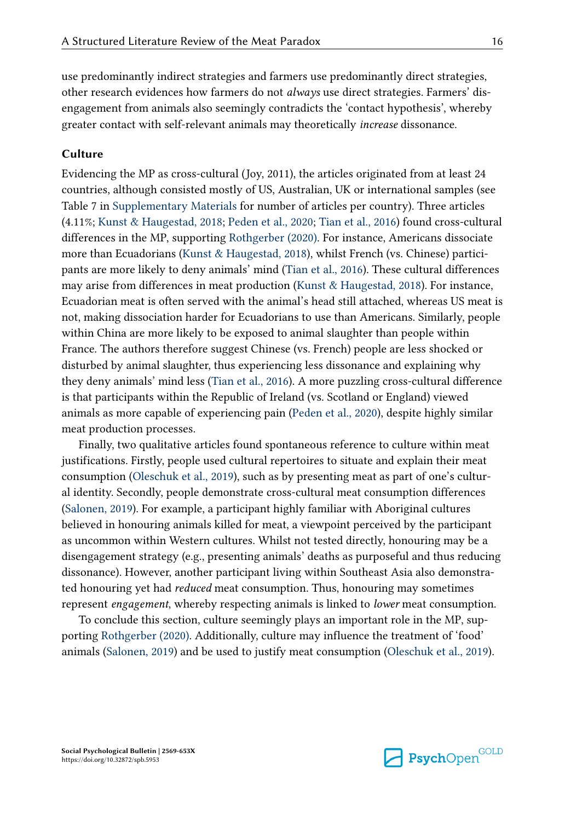use predominantly indirect strategies and farmers use predominantly direct strategies, other research evidences how farmers do not *always* use direct strategies. Farmers' disengagement from animals also seemingly contradicts the 'contact hypothesis', whereby greater contact with self-relevant animals may theoretically *increase* dissonance.

#### **Culture**

Evidencing the MP as cross-cultural (Joy, 2011), the articles originated from at least 24 countries, although consisted mostly of US, Australian, UK or international samples (see Table 7 in [Supplementary Materials](#page-21-0) for number of articles per country). Three articles (4.11%; [Kunst & Haugestad, 2018](#page-23-0); [Peden et al., 2020](#page-24-0); [Tian et al., 2016](#page-25-0)) found cross-cultural differences in the MP, supporting [Rothgerber \(2020\).](#page-24-0) For instance, Americans dissociate more than Ecuadorians [\(Kunst & Haugestad, 2018](#page-23-0)), whilst French (vs. Chinese) participants are more likely to deny animals' mind [\(Tian et al., 2016](#page-25-0)). These cultural differences may arise from differences in meat production ([Kunst & Haugestad, 2018\)](#page-23-0). For instance, Ecuadorian meat is often served with the animal's head still attached, whereas US meat is not, making dissociation harder for Ecuadorians to use than Americans. Similarly, people within China are more likely to be exposed to animal slaughter than people within France. The authors therefore suggest Chinese (vs. French) people are less shocked or disturbed by animal slaughter, thus experiencing less dissonance and explaining why they deny animals' mind less [\(Tian et al., 2016](#page-25-0)). A more puzzling cross-cultural difference is that participants within the Republic of Ireland (vs. Scotland or England) viewed animals as more capable of experiencing pain [\(Peden et al., 2020](#page-24-0)), despite highly similar meat production processes.

Finally, two qualitative articles found spontaneous reference to culture within meat justifications. Firstly, people used cultural repertoires to situate and explain their meat consumption ([Oleschuk et al., 2019](#page-23-0)), such as by presenting meat as part of one's cultural identity. Secondly, people demonstrate cross-cultural meat consumption differences [\(Salonen, 2019\)](#page-24-0). For example, a participant highly familiar with Aboriginal cultures believed in honouring animals killed for meat, a viewpoint perceived by the participant as uncommon within Western cultures. Whilst not tested directly, honouring may be a disengagement strategy (e.g., presenting animals' deaths as purposeful and thus reducing dissonance). However, another participant living within Southeast Asia also demonstrated honouring yet had *reduced* meat consumption. Thus, honouring may sometimes represent *engagement*, whereby respecting animals is linked to *lower* meat consumption.

To conclude this section, culture seemingly plays an important role in the MP, supporting [Rothgerber \(2020\).](#page-24-0) Additionally, culture may influence the treatment of 'food' animals [\(Salonen, 2019\)](#page-24-0) and be used to justify meat consumption ([Oleschuk et al., 2019](#page-23-0)).

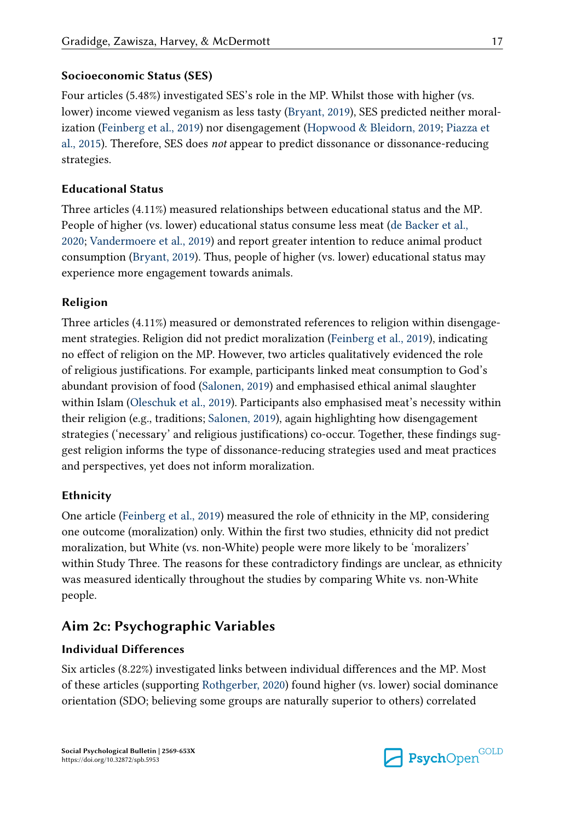#### **Socioeconomic Status (SES)**

Four articles (5.48%) investigated SES's role in the MP. Whilst those with higher (vs. lower) income viewed veganism as less tasty ([Bryant, 2019\)](#page-22-0), SES predicted neither moralization [\(Feinberg et al., 2019](#page-22-0)) nor disengagement ([Hopwood & Bleidorn, 2019;](#page-23-0) [Piazza et](#page-24-0)  [al., 2015\)](#page-24-0). Therefore, SES does *not* appear to predict dissonance or dissonance-reducing strategies.

#### **Educational Status**

Three articles (4.11%) measured relationships between educational status and the MP. People of higher (vs. lower) educational status consume less meat ([de Backer et al.,](#page-22-0)  [2020;](#page-22-0) [Vandermoere et al., 2019\)](#page-25-0) and report greater intention to reduce animal product consumption ([Bryant, 2019](#page-22-0)). Thus, people of higher (vs. lower) educational status may experience more engagement towards animals.

#### **Religion**

Three articles (4.11%) measured or demonstrated references to religion within disengagement strategies. Religion did not predict moralization [\(Feinberg et al., 2019](#page-22-0)), indicating no effect of religion on the MP. However, two articles qualitatively evidenced the role of religious justifications. For example, participants linked meat consumption to God's abundant provision of food ([Salonen, 2019](#page-24-0)) and emphasised ethical animal slaughter within Islam ([Oleschuk et al., 2019](#page-23-0)). Participants also emphasised meat's necessity within their religion (e.g., traditions; [Salonen, 2019](#page-24-0)), again highlighting how disengagement strategies ('necessary' and religious justifications) co-occur. Together, these findings suggest religion informs the type of dissonance-reducing strategies used and meat practices and perspectives, yet does not inform moralization.

#### **Ethnicity**

One article [\(Feinberg et al., 2019](#page-22-0)) measured the role of ethnicity in the MP, considering one outcome (moralization) only. Within the first two studies, ethnicity did not predict moralization, but White (vs. non-White) people were more likely to be 'moralizers' within Study Three. The reasons for these contradictory findings are unclear, as ethnicity was measured identically throughout the studies by comparing White vs. non-White people.

## **Aim 2c: Psychographic Variables**

#### **Individual Differences**

Six articles (8.22%) investigated links between individual differences and the MP. Most of these articles (supporting [Rothgerber, 2020](#page-24-0)) found higher (vs. lower) social dominance orientation (SDO; believing some groups are naturally superior to others) correlated

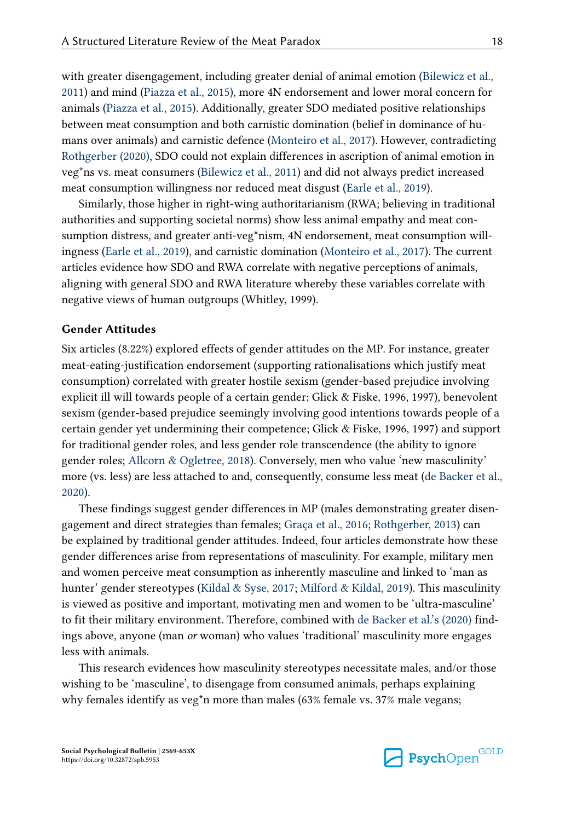with greater disengagement, including greater denial of animal emotion [\(Bilewicz et al.,](#page-22-0)  [2011\)](#page-22-0) and mind [\(Piazza et al., 2015](#page-24-0)), more 4N endorsement and lower moral concern for animals [\(Piazza et al., 2015](#page-24-0)). Additionally, greater SDO mediated positive relationships between meat consumption and both carnistic domination (belief in dominance of humans over animals) and carnistic defence ([Monteiro et al., 2017\)](#page-23-0). However, contradicting [Rothgerber \(2020\),](#page-24-0) SDO could not explain differences in ascription of animal emotion in veg\*ns vs. meat consumers [\(Bilewicz et al., 2011](#page-22-0)) and did not always predict increased meat consumption willingness nor reduced meat disgust [\(Earle et al., 2019](#page-22-0)).

Similarly, those higher in right-wing authoritarianism (RWA; believing in traditional authorities and supporting societal norms) show less animal empathy and meat consumption distress, and greater anti-veg\*nism, 4N endorsement, meat consumption willingness [\(Earle et al., 2019\)](#page-22-0), and carnistic domination ([Monteiro et al., 2017\)](#page-23-0). The current articles evidence how SDO and RWA correlate with negative perceptions of animals, aligning with general SDO and RWA literature whereby these variables correlate with negative views of human outgroups (Whitley, 1999).

#### **Gender Attitudes**

Six articles (8.22%) explored effects of gender attitudes on the MP. For instance, greater meat-eating-justification endorsement (supporting rationalisations which justify meat consumption) correlated with greater hostile sexism (gender-based prejudice involving explicit ill will towards people of a certain gender; Glick & Fiske, 1996, 1997), benevolent sexism (gender-based prejudice seemingly involving good intentions towards people of a certain gender yet undermining their competence; Glick & Fiske, 1996, 1997) and support for traditional gender roles, and less gender role transcendence (the ability to ignore gender roles; [Allcorn & Ogletree, 2018](#page-21-0)). Conversely, men who value 'new masculinity' more (vs. less) are less attached to and, consequently, consume less meat ([de Backer et al.,](#page-22-0) [2020\)](#page-22-0).

These findings suggest gender differences in MP (males demonstrating greater disengagement and direct strategies than females; [Graça et al., 2016;](#page-22-0) [Rothgerber, 2013](#page-24-0)) can be explained by traditional gender attitudes. Indeed, four articles demonstrate how these gender differences arise from representations of masculinity. For example, military men and women perceive meat consumption as inherently masculine and linked to 'man as hunter' gender stereotypes [\(Kildal & Syse, 2017](#page-23-0); [Milford & Kildal, 2019\)](#page-23-0). This masculinity is viewed as positive and important, motivating men and women to be 'ultra-masculine' to fit their military environment. Therefore, combined with [de Backer et al.'s \(2020\)](#page-22-0) findings above, anyone (man *or* woman) who values 'traditional' masculinity more engages less with animals.

This research evidences how masculinity stereotypes necessitate males, and/or those wishing to be 'masculine', to disengage from consumed animals, perhaps explaining why females identify as veg\*n more than males (63% female vs. 37% male vegans;

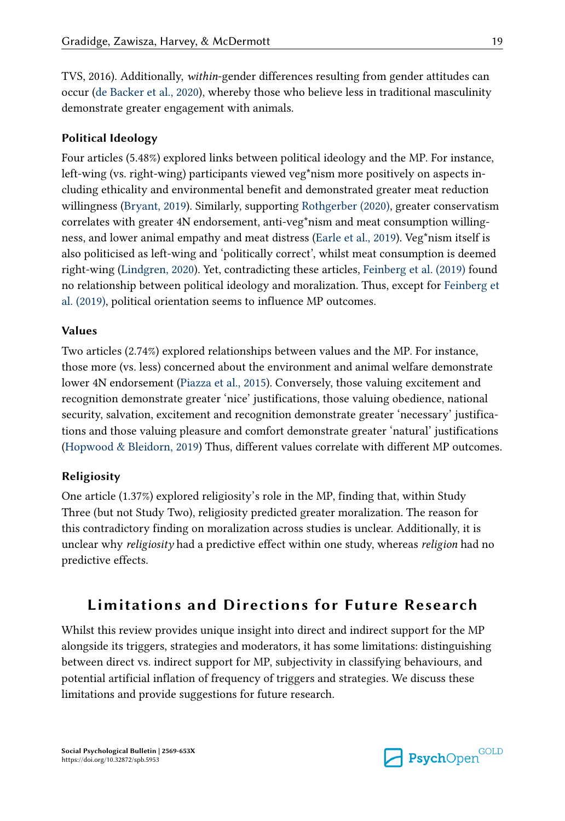TVS, 2016). Additionally, *within*-gender differences resulting from gender attitudes can occur [\(de Backer et al., 2020\)](#page-22-0), whereby those who believe less in traditional masculinity demonstrate greater engagement with animals.

### **Political Ideology**

Four articles (5.48%) explored links between political ideology and the MP. For instance, left-wing (vs. right-wing) participants viewed veg\*nism more positively on aspects including ethicality and environmental benefit and demonstrated greater meat reduction willingness ([Bryant, 2019](#page-22-0)). Similarly, supporting [Rothgerber \(2020\),](#page-24-0) greater conservatism correlates with greater 4N endorsement, anti-veg\*nism and meat consumption willingness, and lower animal empathy and meat distress ([Earle et al., 2019\)](#page-22-0). Veg\*nism itself is also politicised as left-wing and 'politically correct', whilst meat consumption is deemed right-wing [\(Lindgren, 2020\)](#page-23-0). Yet, contradicting these articles, [Feinberg et al. \(2019\)](#page-22-0) found no relationship between political ideology and moralization. Thus, except for [Feinberg et](#page-22-0)  [al. \(2019\)](#page-22-0), political orientation seems to influence MP outcomes.

#### **Values**

Two articles (2.74%) explored relationships between values and the MP. For instance, those more (vs. less) concerned about the environment and animal welfare demonstrate lower 4N endorsement [\(Piazza et al., 2015](#page-24-0)). Conversely, those valuing excitement and recognition demonstrate greater 'nice' justifications, those valuing obedience, national security, salvation, excitement and recognition demonstrate greater 'necessary' justifications and those valuing pleasure and comfort demonstrate greater 'natural' justifications [\(Hopwood & Bleidorn, 2019](#page-23-0)) Thus, different values correlate with different MP outcomes.

#### **Religiosity**

One article (1.37%) explored religiosity's role in the MP, finding that, within Study Three (but not Study Two), religiosity predicted greater moralization. The reason for this contradictory finding on moralization across studies is unclear. Additionally, it is unclear why *religiosity* had a predictive effect within one study, whereas *religion* had no predictive effects.

## **Limitations and Directions for Future Research**

Whilst this review provides unique insight into direct and indirect support for the MP alongside its triggers, strategies and moderators, it has some limitations: distinguishing between direct vs. indirect support for MP, subjectivity in classifying behaviours, and potential artificial inflation of frequency of triggers and strategies. We discuss these limitations and provide suggestions for future research.

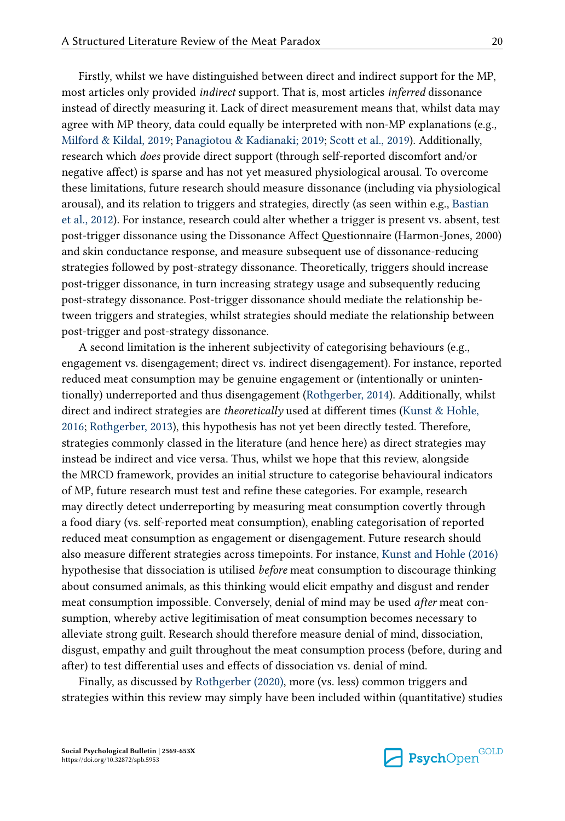Firstly, whilst we have distinguished between direct and indirect support for the MP, most articles only provided *indirect* support. That is, most articles *inferred* dissonance instead of directly measuring it. Lack of direct measurement means that, whilst data may agree with MP theory, data could equally be interpreted with non-MP explanations (e.g., [Milford & Kildal, 2019;](#page-23-0) [Panagiotou & Kadianaki; 2019](#page-24-0); [Scott et al., 2019](#page-24-0)). Additionally, research which *does* provide direct support (through self-reported discomfort and/or negative affect) is sparse and has not yet measured physiological arousal. To overcome these limitations, future research should measure dissonance (including via physiological arousal), and its relation to triggers and strategies, directly (as seen within e.g., [Bastian](#page-22-0)  [et al., 2012\)](#page-22-0). For instance, research could alter whether a trigger is present vs. absent, test post-trigger dissonance using the Dissonance Affect Questionnaire (Harmon-Jones, 2000) and skin conductance response, and measure subsequent use of dissonance-reducing strategies followed by post-strategy dissonance. Theoretically, triggers should increase post-trigger dissonance, in turn increasing strategy usage and subsequently reducing post-strategy dissonance. Post-trigger dissonance should mediate the relationship between triggers and strategies, whilst strategies should mediate the relationship between post-trigger and post-strategy dissonance.

A second limitation is the inherent subjectivity of categorising behaviours (e.g., engagement vs. disengagement; direct vs. indirect disengagement). For instance, reported reduced meat consumption may be genuine engagement or (intentionally or unintentionally) underreported and thus disengagement ([Rothgerber, 2014](#page-24-0)). Additionally, whilst direct and indirect strategies are *theoretically* used at different times ([Kunst & Hohle,](#page-23-0)  [2016;](#page-23-0) [Rothgerber, 2013](#page-24-0)), this hypothesis has not yet been directly tested. Therefore, strategies commonly classed in the literature (and hence here) as direct strategies may instead be indirect and vice versa. Thus, whilst we hope that this review, alongside the MRCD framework, provides an initial structure to categorise behavioural indicators of MP, future research must test and refine these categories. For example, research may directly detect underreporting by measuring meat consumption covertly through a food diary (vs. self-reported meat consumption), enabling categorisation of reported reduced meat consumption as engagement or disengagement. Future research should also measure different strategies across timepoints. For instance, [Kunst and Hohle \(2016\)](#page-23-0)  hypothesise that dissociation is utilised *before* meat consumption to discourage thinking about consumed animals, as this thinking would elicit empathy and disgust and render meat consumption impossible. Conversely, denial of mind may be used *after* meat consumption, whereby active legitimisation of meat consumption becomes necessary to alleviate strong guilt. Research should therefore measure denial of mind, dissociation, disgust, empathy and guilt throughout the meat consumption process (before, during and after) to test differential uses and effects of dissociation vs. denial of mind.

Finally, as discussed by [Rothgerber \(2020\),](#page-24-0) more (vs. less) common triggers and strategies within this review may simply have been included within (quantitative) studies

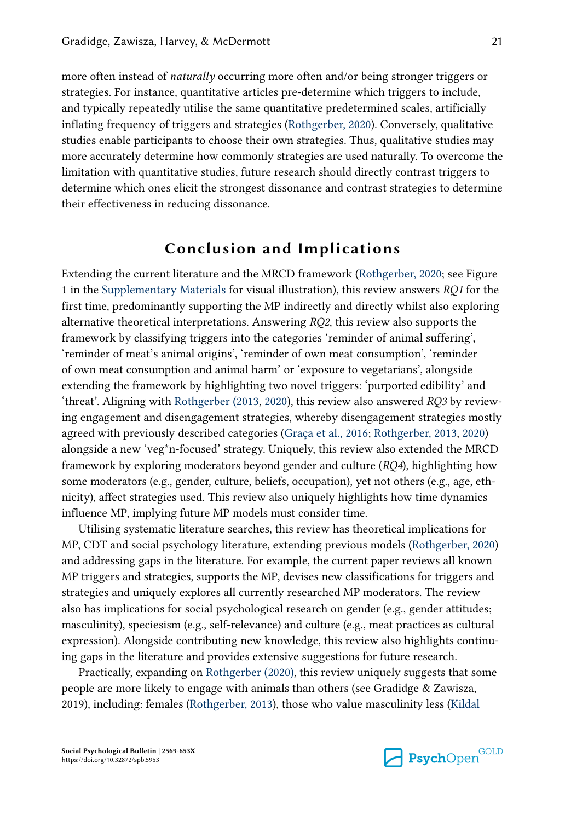more often instead of *naturally* occurring more often and/or being stronger triggers or strategies. For instance, quantitative articles pre-determine which triggers to include, and typically repeatedly utilise the same quantitative predetermined scales, artificially inflating frequency of triggers and strategies ([Rothgerber, 2020](#page-24-0)). Conversely, qualitative studies enable participants to choose their own strategies. Thus, qualitative studies may more accurately determine how commonly strategies are used naturally. To overcome the limitation with quantitative studies, future research should directly contrast triggers to determine which ones elicit the strongest dissonance and contrast strategies to determine their effectiveness in reducing dissonance.

## **Conclusion and Implications**

Extending the current literature and the MRCD framework [\(Rothgerber, 2020;](#page-24-0) see Figure 1 in the [Supplementary Materials](#page-21-0) for visual illustration), this review answers *RQ1* for the first time, predominantly supporting the MP indirectly and directly whilst also exploring alternative theoretical interpretations. Answering *RQ2*, this review also supports the framework by classifying triggers into the categories 'reminder of animal suffering', 'reminder of meat's animal origins', 'reminder of own meat consumption', 'reminder of own meat consumption and animal harm' or 'exposure to vegetarians', alongside extending the framework by highlighting two novel triggers: 'purported edibility' and 'threat'. Aligning with [Rothgerber \(2013](#page-24-0), [2020\)](#page-24-0), this review also answered *RQ3* by reviewing engagement and disengagement strategies, whereby disengagement strategies mostly agreed with previously described categories ([Graça et al., 2016;](#page-22-0) [Rothgerber, 2013](#page-24-0), [2020\)](#page-24-0) alongside a new 'veg\*n-focused' strategy. Uniquely, this review also extended the MRCD framework by exploring moderators beyond gender and culture (*RQ4*), highlighting how some moderators (e.g., gender, culture, beliefs, occupation), yet not others (e.g., age, ethnicity), affect strategies used. This review also uniquely highlights how time dynamics influence MP, implying future MP models must consider time.

Utilising systematic literature searches, this review has theoretical implications for MP, CDT and social psychology literature, extending previous models [\(Rothgerber, 2020\)](#page-24-0) and addressing gaps in the literature. For example, the current paper reviews all known MP triggers and strategies, supports the MP, devises new classifications for triggers and strategies and uniquely explores all currently researched MP moderators. The review also has implications for social psychological research on gender (e.g., gender attitudes; masculinity), speciesism (e.g., self-relevance) and culture (e.g., meat practices as cultural expression). Alongside contributing new knowledge, this review also highlights continuing gaps in the literature and provides extensive suggestions for future research.

Practically, expanding on [Rothgerber \(2020\)](#page-24-0), this review uniquely suggests that some people are more likely to engage with animals than others (see Gradidge & Zawisza, 2019), including: females [\(Rothgerber, 2013\)](#page-24-0), those who value masculinity less [\(Kildal](#page-23-0)

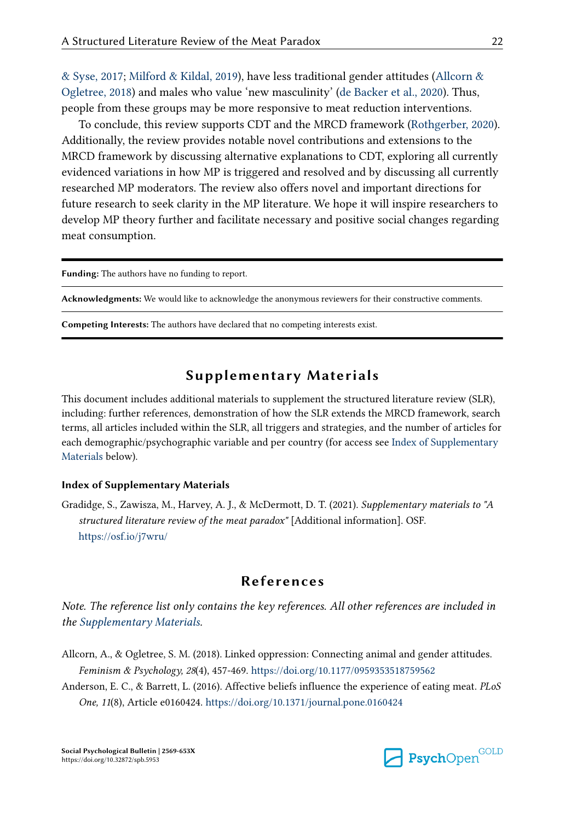<span id="page-21-0"></span>[& Syse, 2017](#page-23-0); [Milford & Kildal, 2019\)](#page-23-0), have less traditional gender attitudes (Allcorn & Ogletree, 2018) and males who value 'new masculinity' [\(de Backer et al., 2020\)](#page-22-0). Thus, people from these groups may be more responsive to meat reduction interventions.

To conclude, this review supports CDT and the MRCD framework ([Rothgerber, 2020](#page-24-0)). Additionally, the review provides notable novel contributions and extensions to the MRCD framework by discussing alternative explanations to CDT, exploring all currently evidenced variations in how MP is triggered and resolved and by discussing all currently researched MP moderators. The review also offers novel and important directions for future research to seek clarity in the MP literature. We hope it will inspire researchers to develop MP theory further and facilitate necessary and positive social changes regarding meat consumption.

**Funding:** The authors have no funding to report.

**Acknowledgments:** We would like to acknowledge the anonymous reviewers for their constructive comments.

**Competing Interests:** The authors have declared that no competing interests exist.

### **Supplementary Materials**

This document includes additional materials to supplement the structured literature review (SLR), including: further references, demonstration of how the SLR extends the MRCD framework, search terms, all articles included within the SLR, all triggers and strategies, and the number of articles for each demographic/psychographic variable and per country (for access see Index of Supplementary Materials below).

#### **Index of Supplementary Materials**

Gradidge, S., Zawisza, M., Harvey, A. J., & McDermott, D. T. (2021). *Supplementary materials to "A structured literature review of the meat paradox"* [Additional information]. OSF. <https://osf.io/j7wru/>

### **References**

*Note. The reference list only contains the key references. All other references are included in the Supplementary Materials.*

- Allcorn, A., & Ogletree, S. M. (2018). Linked oppression: Connecting animal and gender attitudes. *Feminism & Psychology, 28*(4), 457-469.<https://doi.org/10.1177/0959353518759562>
- Anderson, E. C., & Barrett, L. (2016). Affective beliefs influence the experience of eating meat. *PLoS One, 11*(8), Article e0160424.<https://doi.org/10.1371/journal.pone.0160424>

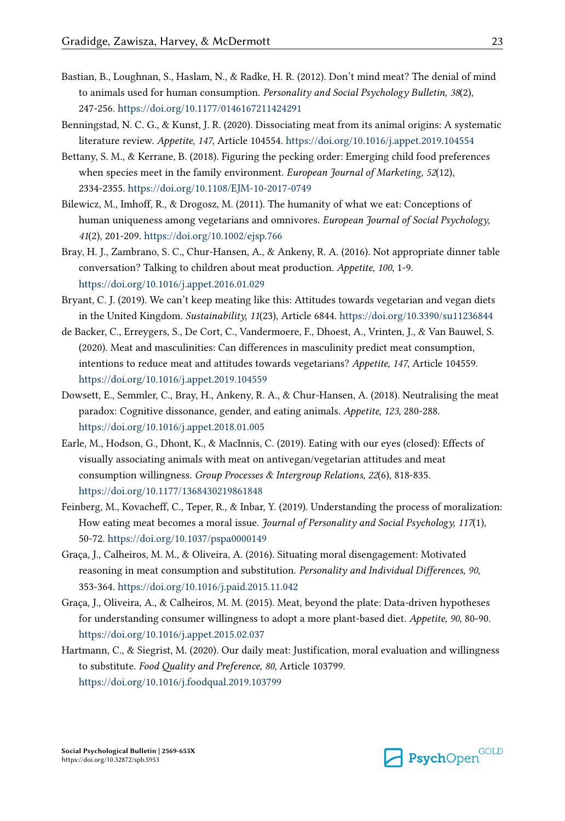- <span id="page-22-0"></span>Bastian, B., Loughnan, S., Haslam, N., & Radke, H. R. (2012). Don't mind meat? The denial of mind to animals used for human consumption. *Personality and Social Psychology Bulletin, 38*(2), 247-256. <https://doi.org/10.1177/0146167211424291>
- Benningstad, N. C. G., & Kunst, J. R. (2020). Dissociating meat from its animal origins: A systematic literature review. *Appetite, 147*, Article 104554. <https://doi.org/10.1016/j.appet.2019.104554>
- Bettany, S. M., & Kerrane, B. (2018). Figuring the pecking order: Emerging child food preferences when species meet in the family environment. *European Journal of Marketing, 52*(12), 2334-2355. <https://doi.org/10.1108/EJM-10-2017-0749>
- Bilewicz, M., Imhoff, R., & Drogosz, M. (2011). The humanity of what we eat: Conceptions of human uniqueness among vegetarians and omnivores. *European Journal of Social Psychology, 41*(2), 201-209.<https://doi.org/10.1002/ejsp.766>
- Bray, H. J., Zambrano, S. C., Chur-Hansen, A., & Ankeny, R. A. (2016). Not appropriate dinner table conversation? Talking to children about meat production. *Appetite, 100*, 1-9. <https://doi.org/10.1016/j.appet.2016.01.029>
- Bryant, C. J. (2019). We can't keep meating like this: Attitudes towards vegetarian and vegan diets in the United Kingdom. *Sustainability, 11*(23), Article 6844.<https://doi.org/10.3390/su11236844>
- de Backer, C., Erreygers, S., De Cort, C., Vandermoere, F., Dhoest, A., Vrinten, J., & Van Bauwel, S. (2020). Meat and masculinities: Can differences in masculinity predict meat consumption, intentions to reduce meat and attitudes towards vegetarians? *Appetite, 147*, Article 104559. <https://doi.org/10.1016/j.appet.2019.104559>
- Dowsett, E., Semmler, C., Bray, H., Ankeny, R. A., & Chur-Hansen, A. (2018). Neutralising the meat paradox: Cognitive dissonance, gender, and eating animals. *Appetite, 123*, 280-288. <https://doi.org/10.1016/j.appet.2018.01.005>
- Earle, M., Hodson, G., Dhont, K., & MacInnis, C. (2019). Eating with our eyes (closed): Effects of visually associating animals with meat on antivegan/vegetarian attitudes and meat consumption willingness. *Group Processes & Intergroup Relations, 22*(6), 818-835. <https://doi.org/10.1177/1368430219861848>
- Feinberg, M., Kovacheff, C., Teper, R., & Inbar, Y. (2019). Understanding the process of moralization: How eating meat becomes a moral issue. *Journal of Personality and Social Psychology, 117*(1), 50-72.<https://doi.org/10.1037/pspa0000149>
- Graça, J., Calheiros, M. M., & Oliveira, A. (2016). Situating moral disengagement: Motivated reasoning in meat consumption and substitution. *Personality and Individual Differences, 90*, 353-364. <https://doi.org/10.1016/j.paid.2015.11.042>
- Graça, J., Oliveira, A., & Calheiros, M. M. (2015). Meat, beyond the plate: Data-driven hypotheses for understanding consumer willingness to adopt a more plant-based diet. *Appetite, 90*, 80-90. <https://doi.org/10.1016/j.appet.2015.02.037>
- Hartmann, C., & Siegrist, M. (2020). Our daily meat: Justification, moral evaluation and willingness to substitute. *Food Quality and Preference, 80*, Article 103799. <https://doi.org/10.1016/j.foodqual.2019.103799>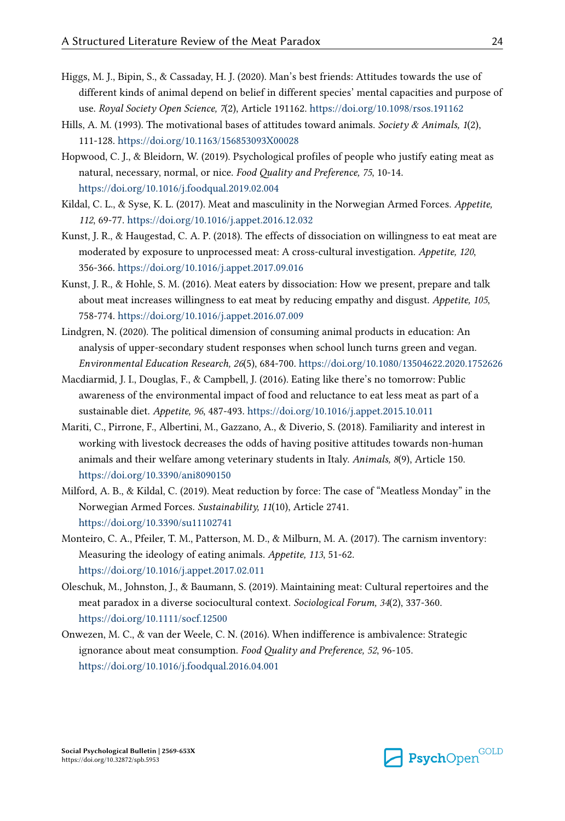- <span id="page-23-0"></span>Higgs, M. J., Bipin, S., & Cassaday, H. J. (2020). Man's best friends: Attitudes towards the use of different kinds of animal depend on belief in different species' mental capacities and purpose of use. *Royal Society Open Science, 7*(2), Article 191162. <https://doi.org/10.1098/rsos.191162>
- Hills, A. M. (1993). The motivational bases of attitudes toward animals. *Society & Animals, 1*(2), 111-128. <https://doi.org/10.1163/156853093X00028>
- Hopwood, C. J., & Bleidorn, W. (2019). Psychological profiles of people who justify eating meat as natural, necessary, normal, or nice. *Food Quality and Preference, 75*, 10-14. <https://doi.org/10.1016/j.foodqual.2019.02.004>
- Kildal, C. L., & Syse, K. L. (2017). Meat and masculinity in the Norwegian Armed Forces. *Appetite, 112*, 69-77.<https://doi.org/10.1016/j.appet.2016.12.032>
- Kunst, J. R., & Haugestad, C. A. P. (2018). The effects of dissociation on willingness to eat meat are moderated by exposure to unprocessed meat: A cross-cultural investigation. *Appetite, 120*, 356-366. <https://doi.org/10.1016/j.appet.2017.09.016>
- Kunst, J. R., & Hohle, S. M. (2016). Meat eaters by dissociation: How we present, prepare and talk about meat increases willingness to eat meat by reducing empathy and disgust. *Appetite, 105*, 758-774. <https://doi.org/10.1016/j.appet.2016.07.009>
- Lindgren, N. (2020). The political dimension of consuming animal products in education: An analysis of upper-secondary student responses when school lunch turns green and vegan. *Environmental Education Research, 26*(5), 684-700. <https://doi.org/10.1080/13504622.2020.1752626>
- Macdiarmid, J. I., Douglas, F., & Campbell, J. (2016). Eating like there's no tomorrow: Public awareness of the environmental impact of food and reluctance to eat less meat as part of a sustainable diet. *Appetite, 96*, 487-493. <https://doi.org/10.1016/j.appet.2015.10.011>
- Mariti, C., Pirrone, F., Albertini, M., Gazzano, A., & Diverio, S. (2018). Familiarity and interest in working with livestock decreases the odds of having positive attitudes towards non-human animals and their welfare among veterinary students in Italy. *Animals, 8*(9), Article 150. <https://doi.org/10.3390/ani8090150>
- Milford, A. B., & Kildal, C. (2019). Meat reduction by force: The case of "Meatless Monday" in the Norwegian Armed Forces. *Sustainability, 11*(10), Article 2741. <https://doi.org/10.3390/su11102741>
- Monteiro, C. A., Pfeiler, T. M., Patterson, M. D., & Milburn, M. A. (2017). The carnism inventory: Measuring the ideology of eating animals. *Appetite, 113*, 51-62. <https://doi.org/10.1016/j.appet.2017.02.011>
- Oleschuk, M., Johnston, J., & Baumann, S. (2019). Maintaining meat: Cultural repertoires and the meat paradox in a diverse sociocultural context. *Sociological Forum, 34*(2), 337-360. <https://doi.org/10.1111/socf.12500>
- Onwezen, M. C., & van der Weele, C. N. (2016). When indifference is ambivalence: Strategic ignorance about meat consumption. *Food Quality and Preference, 52*, 96-105. <https://doi.org/10.1016/j.foodqual.2016.04.001>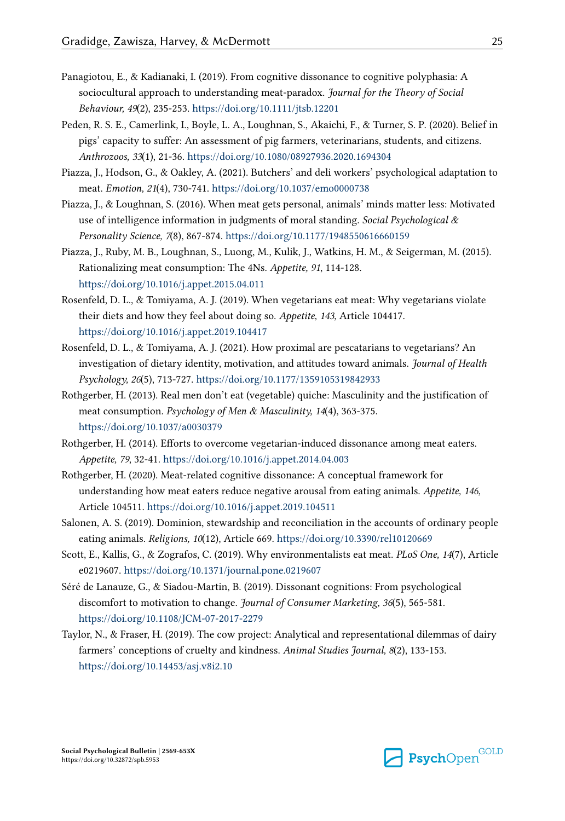- <span id="page-24-0"></span>Panagiotou, E., & Kadianaki, I. (2019). From cognitive dissonance to cognitive polyphasia: A sociocultural approach to understanding meat‐paradox. *Journal for the Theory of Social Behaviour, 49*(2), 235-253.<https://doi.org/10.1111/jtsb.12201>
- Peden, R. S. E., Camerlink, I., Boyle, L. A., Loughnan, S., Akaichi, F., & Turner, S. P. (2020). Belief in pigs' capacity to suffer: An assessment of pig farmers, veterinarians, students, and citizens. *Anthrozoos, 33*(1), 21-36.<https://doi.org/10.1080/08927936.2020.1694304>
- Piazza, J., Hodson, G., & Oakley, A. (2021). Butchers' and deli workers' psychological adaptation to meat. *Emotion, 21*(4), 730-741. <https://doi.org/10.1037/emo0000738>
- Piazza, J., & Loughnan, S. (2016). When meat gets personal, animals' minds matter less: Motivated use of intelligence information in judgments of moral standing. *Social Psychological & Personality Science, 7*(8), 867-874. <https://doi.org/10.1177/1948550616660159>
- Piazza, J., Ruby, M. B., Loughnan, S., Luong, M., Kulik, J., Watkins, H. M., & Seigerman, M. (2015). Rationalizing meat consumption: The 4Ns. *Appetite, 91*, 114-128. <https://doi.org/10.1016/j.appet.2015.04.011>
- Rosenfeld, D. L., & Tomiyama, A. J. (2019). When vegetarians eat meat: Why vegetarians violate their diets and how they feel about doing so. *Appetite, 143*, Article 104417. <https://doi.org/10.1016/j.appet.2019.104417>
- Rosenfeld, D. L., & Tomiyama, A. J. (2021). How proximal are pescatarians to vegetarians? An investigation of dietary identity, motivation, and attitudes toward animals. *Journal of Health Psychology, 26*(5), 713-727. <https://doi.org/10.1177/1359105319842933>
- Rothgerber, H. (2013). Real men don't eat (vegetable) quiche: Masculinity and the justification of meat consumption. *Psychology of Men & Masculinity, 14*(4), 363-375. <https://doi.org/10.1037/a0030379>
- Rothgerber, H. (2014). Efforts to overcome vegetarian-induced dissonance among meat eaters. *Appetite, 79*, 32-41.<https://doi.org/10.1016/j.appet.2014.04.003>
- Rothgerber, H. (2020). Meat-related cognitive dissonance: A conceptual framework for understanding how meat eaters reduce negative arousal from eating animals. *Appetite, 146*, Article 104511. <https://doi.org/10.1016/j.appet.2019.104511>
- Salonen, A. S. (2019). Dominion, stewardship and reconciliation in the accounts of ordinary people eating animals. *Religions, 10*(12), Article 669.<https://doi.org/10.3390/rel10120669>
- Scott, E., Kallis, G., & Zografos, C. (2019). Why environmentalists eat meat. *PLoS One, 14*(7), Article e0219607. <https://doi.org/10.1371/journal.pone.0219607>
- Séré de Lanauze, G., & Siadou-Martin, B. (2019). Dissonant cognitions: From psychological discomfort to motivation to change. *Journal of Consumer Marketing, 36*(5), 565-581. <https://doi.org/10.1108/JCM-07-2017-2279>
- Taylor, N., & Fraser, H. (2019). The cow project: Analytical and representational dilemmas of dairy farmers' conceptions of cruelty and kindness. *Animal Studies Journal, 8*(2), 133-153. <https://doi.org/10.14453/asj.v8i2.10>